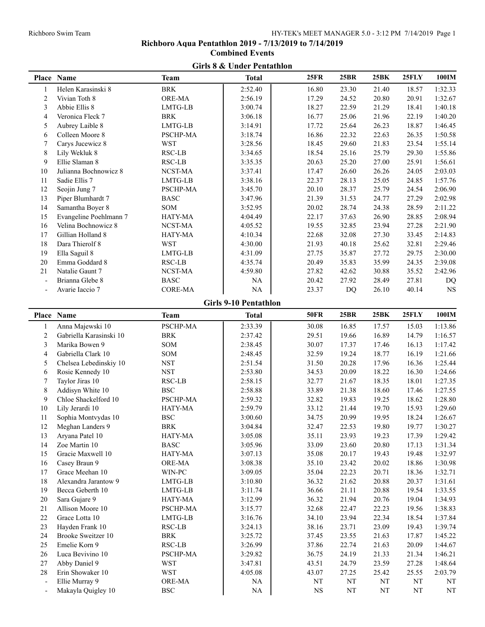## **Girls 8 & Under Pentathlon Place Name Team Total 25FR 25BR 25BK 25FLY 100IM** 1 Helen Karasinski 8 BRK 2:52.40 16.80 23.30 21.40 18.57 1:32.33 2 Vivian Toth 8 ORE-MA 2:56.19 17.29 24.52 20.80 20.91 1:32.67 3 Abbie Ellis 8 LMTG-LB 3:00.74 18.27 22.59 21.29 18.41 1:40.18 4 Veronica Fleck 7 BRK 3:06.18 16.77 25.06 21.96 22.19 1:40.20 5 Aubrey Laible 8 LMTG-LB 3:14.91 17.72 25.64 26.23 18.87 1:46.45 6 Colleen Moore 8 PSCHP-MA 3:18.74 16.86 22.32 22.63 26.35 1:50.58 7 Carys Jucewicz 8 WST 3:28.56 18.45 29.60 21.83 23.54 1:55.14 8 Lily Wekluk 8 **RSC-LB** 1 3:34.65 18.54 25.16 25.79 29.30 1:55.86 9 Ellie Slaman 8 RSC-LB 8:35.35 20.63 25.20 27.00 25.91 1:56.61 10 Julianna Bochnowicz 8 NCST-MA 3:37.41 17.47 26.60 26.26 24.05 2:03.03 11 Sadie Ellis 7 LMTG-LB 3:38.16 22.37 28.13 25.05 24.85 1:57.76 12 Seojin Jung 7 **PSCHP-MA** 13:45.70 20.10 28.37 25.79 24.54 2:06.90 13 Piper Blumhardt 7 BASC 3:47.96 21.39 31.53 24.77 27.29 2:02.98 14 Samantha Boyer 8 SOM 3:52.95 20.02 28.74 24.38 28.59 2:11.22 15 Evangeline Poehlmann 7 HATY-MA 4:04.49 22.17 37.63 26.90 28.85 2:08.94 16 Velina Bochnowicz 8 NCST-MA 1 4:05.52 1 19.55 32.85 23.94 27.28 2:21.90 17 Gillian Holland 8 HATY-MA 4:10.34 22.68 32.08 27.30 33.45 2:14.83 18 Dara Thierolf 8 WST 4:30.00 21.93 40.18 25.62 32.81 2:29.46 19 Ella Saguil 8 LMTG-LB 4:31.09 27.75 35.87 27.72 29.75 2:30.00 20 Emma Goddard 8 RSC-LB 1 4:35.74 20.49 35.83 35.99 24.35 2:39.08 21 Natalie Gaunt 7 NCST-MA 4:59.80 27.82 42.62 30.88 35.52 2:42.96 - Brianna Glebe 8 BASC NA 20.42 27.92 28.49 27.81 DQ - Avarie Iaccio 7 CORE-MA NA 23.37 DQ 26.10 40.14 NS **Girls 9-10 Pentathlon Place Name Team Total 50FR 25BR 25BK 25FLY 100IM** 1 Anna Majewski 10 PSCHP-MA 2:33.39 30.08 16.85 17.57 15.03 1:13.86 2 Gabriella Karasinski 10 BRK 2:37.42 29.51 19.66 16.89 14.79 1:16.57 3 Marika Bowen 9 SOM 2:38.45 30.07 17.37 17.46 16.13 1:17.42 4 Gabriella Clark 10 SOM 2:48.45 32.59 19.24 18.77 16.19 1:21.66 5 Chelsea Lebedinskiy 10 NST 2:51.54 31.50 20.28 17.96 16.36 1:25.44 6 Rosie Kennedy 10 NST 2:53.80 34.53 20.09 18.22 16.30 1:24.66 7 Taylor Jiras 10 RSC-LB 2:58.15 32.77 21.67 18.35 18.01 1:27.35 8 Addisyn White 10 BSC 1 2:58.88 33.89 21.38 18.60 17.46 1:27.55 9 Chloe Shackelford 10 PSCHP-MA 2:59.32 32.82 19.83 19.25 18.62 1:28.80 10 Lily Jerardi 10 HATY-MA 2:59.79 33.12 21.44 19.70 15.93 1:29.60 11 Sophia Montvydas 10 BSC 3:00.60 34.75 20.99 19.95 18.24 1:26.67 12 Meghan Landers 9 BRK 3:04.84 32.47 22.53 19.80 19.77 1:30.27 13 Aryana Patel 10 HATY-MA 3:05.08 35.11 23.93 19.23 17.39 1:29.42 14 Zoe Martin 10 BASC 3:05.96 33.09 23.60 20.80 17.13 1:31.34 15 Gracie Maxwell 10 **HATY-MA** 3:07.13 1 35.08 20.17 19.43 19.48 1:32.97 16 Casey Braun 9 0RE-MA 1 3:08.38 35.10 23.42 20.02 18.86 1:30.98 17 Grace Meehan 10 WIN-PC 3:09.05 35.04 22.23 20.71 18.36 1:32.71 18 Alexandra Jarantow 9 LMTG-LB 13.10.80 36.32 21.62 20.88 20.37 1:31.61 19 Becca Geberth 10 LMTG-LB 3:11.74 36.66 21.11 20.88 19.54 1:33.55 20 Sara Gujare 9 HATY-MA 3:12.99 36.32 21.94 20.76 19.04 1:34.93 21 Allison Moore 10 **PSCHP-MA** 3:15.77 32.68 22.47 22.23 19.56 1:38.83 22 Grace Lotta 10 LMTG-LB 13.16.76 34.10 23.94 22.34 18.54 1:37.84 23 Hayden Frank 10 RSC-LB 3:24.13 38.16 23.71 23.09 19.43 1:39.74 24 Brooke Sweitzer 10 BRK 8 3:25.72 37.45 23.55 21.63 17.87 1:45.22 25 Emelie Korn 9 RSC-LB 3:26.99 37.86 22.74 21.63 20.09 1:44.67 26 Luca Bevivino 10 PSCHP-MA 3:29.82 36.75 24.19 21.33 21.34 1:46.21 27 Abby Daniel 9 WST 3:47.81 43.51 24.79 23.59 27.28 1:48.64 28 Erin Showaker 10 WST 4:05.08 43.07 27.25 25.42 25.55 2:03.79 - Ellie Murray 9 ORE-MA  $\vert$  NA NT NT NT NT NT Makayla Quigley 10 BSC NA NA NS NT NT NT NT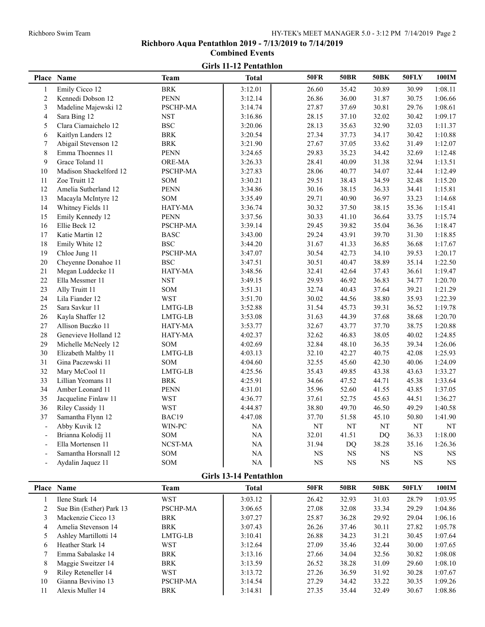# **Girls 11-12 Pentathlon Place Name Team Total 50FR 50BR 50BK 50FLY 100IM** 1 Emily Cicco 12 BRK 1 3:12.01 26.60 35.42 30.89 30.99 1:08.11 2 Kennedi Dobson 12 PENN 3:12.14 26.86 36.00 31.87 30.75 1:06.66 3 Madeline Majewski 12 PSCHP-MA 3:14.74 27.87 37.69 30.81 29.76 1:08.61 4 Sara Bing 12 NST 1:09.17 1 3:16.86 28.15 37.10 32.02 30.42 1:09.17 5 Clara Ciamaichelo 12 BSC 3:20.06 28.13 35.63 32.90 32.03 1:11.37 6 Kaitlyn Landers 12 BRK 3:20.54 27.34 37.73 34.17 30.42 1:10.88 7 Abigail Stevenson 12 BRK 3:21.90 27.67 37.05 33.62 31.49 1:12.07 8 Emma Thoennes 11 PENN 13:24.65 29.83 35.23 34.42 32.69 1:12.48 9 Grace Toland 11 0RE-MA 1 3:26.33 28.41 40.09 31.38 32.94 1:13.51 10 Madison Shackelford 12 PSCHP-MA 3:27.83 28.06 40.77 34.07 32.44 1:12.49 11 Zoe Truitt 12 SOM 5 3:30.21 29.51 38.43 34.59 32.48 1:15.20 12 Amelia Sutherland 12 PENN 3:34.86 30.16 38.15 36.33 34.41 1:15.81 13 Macayla McIntyre 12 SOM 3:35.49 29.71 40.90 36.97 33.23 1:14.68 14 Whitney Fields 11 **HATY-MA** 13:36.74 30.32 37.50 38.15 35.36 1:15.41 15 Emily Kennedy 12 **PENN** 3:37.56 30.33 41.10 36.64 33.75 1:15.74 16 Ellie Beck 12 PSCHP-MA 3:39.14 29.45 39.82 35.04 36.36 1:18.47 17 Katie Martin 12 BASC 3:43.00 29.24 43.91 39.70 31.30 1:18.85 18 Emily White 12 BSC 85 3:44.20 3:44.20 31.67 41.33 36.85 36.68 1:17.67 19 Chloe Jung 11 PSCHP-MA 3:47.07 30.54 42.73 34.10 39.53 1:20.17 20 Cheyenne Donahoe 11 BSC 3:47.51 30.51 40.47 38.89 35.14 1:22.50 21 Megan Luddecke 11 HATY-MA 3:48.56 1 32.41 42.64 37.43 36.61 1:19.47 22 Ella Messmer 11 NST 1:20.70 NST 13:49.15 29.93 46.92 36.83 34.77 1:20.70 23 Ally Truitt 11 SOM 5 3:51.31 32.74 40.43 37.64 39.21 1:21.29 24 Lila Fiander 12 WST 1:22.39 WST 13:51.70 30.02 44.56 38.80 35.93 1:22.39 25 Sara Savkur 11 LMTG-LB 13:52.88 31.54 45.73 39.31 36.52 1:19.78 26 Kayla Shaffer 12 LMTG-LB 3:53.08 31.63 44.39 37.68 38.68 1:20.70 27 Allison Buczko 11 HATY-MA 3:53.77 32.67 43.77 37.70 38.75 1:20.88 28 Genevieve Holland 12 HATY-MA 4:02.37 and 4:02.37 32.62 46.83 38.05 40.02 1:24.85 29 Michelle McNeely 12 SOM 4:02.69 32.84 48.10 36.35 39.34 1:26.06 30 Elizabeth Maltby 11 LMTG-LB 4:03.13 32.10 42.27 40.75 42.08 1:25.93 31 Gina Paczewski 11 SOM 4:04.60 32.55 45.60 42.30 40.06 1:24.09 32 Mary McCool 11 LMTG-LB 4:25.56 35.43 49.85 43.38 43.63 1:33.27 33 Lillian Yeomans 11 BRK 4:25.91 34.66 47.52 44.71 45.38 1:33.64 34 Amber Leonard 11 PENN 4:31.01 35.96 52.60 41.55 43.85 1:37.05 35 Jacqueline Finlaw 11 WST 4:36.77 1 37.61 52.75 45.63 44.51 1:36.27 36 Riley Cassidy 11 WST 4:44.87 38.80 49.70 46.50 49.29 1:40.58 37 Samantha Flynn 12 BAC19 4:47.08 37.70 51.58 45.10 50.80 1:41.90 Abby Kuvik 12 WIN-PC NA NT NT NT NT NT NT - Brianna Kolodij 11 SOM NA 32.01 41.51 DQ 36.33 1:18.00 - Ella Mortensen 11 NCST-MA NA NA 31.94 DQ 38.28 35.16 1:26.36 Samantha Horsnall 12 SOM NA NA NS NS NS NS NS NS Aydalin Jaquez 11 SOM NA NA NS NS NS NS NS NS **Girls 13-14 Pentathlon**

|    | <b>Place Name</b>        | Team            | Total   | <b>50FR</b> | <b>50BR</b> | <b>50BK</b> | <b>50FLY</b> | 100IM   |
|----|--------------------------|-----------------|---------|-------------|-------------|-------------|--------------|---------|
|    | Ilene Stark 14           | <b>WST</b>      | 3:03.12 | 26.42       | 32.93       | 31.03       | 28.79        | 1:03.95 |
|    | Sue Bin (Esther) Park 13 | <b>PSCHP-MA</b> | 3:06.65 | 27.08       | 32.08       | 33.34       | 29.29        | 1:04.86 |
|    | Mackenzie Cicco 13       | <b>BRK</b>      | 3:07.27 | 25.87       | 36.28       | 29.92       | 29.04        | 1:06.16 |
| 4  | Amelia Stevenson 14      | BRK             | 3:07.43 | 26.26       | 37.46       | 30.11       | 27.82        | 1:05.78 |
|    | Ashley Martillotti 14    | LMTG-LB         | 3:10.41 | 26.88       | 34.23       | 31.21       | 30.45        | 1:07.64 |
| 6. | Heather Stark 14         | <b>WST</b>      | 3:12.64 | 27.09       | 35.46       | 32.44       | 30.00        | 1:07.65 |
|    | Emma Sabalaske 14        | <b>BRK</b>      | 3:13.16 | 27.66       | 34.04       | 32.56       | 30.82        | 1:08.08 |
| 8  | Maggie Sweitzer 14       | BRK             | 3:13.59 | 26.52       | 38.28       | 31.09       | 29.60        | 1:08.10 |
| 9  | Riley Reteneller 14      | WST             | 3:13.72 | 27.26       | 36.59       | 31.92       | 30.28        | 1:07.67 |
| 10 | Gianna Bevivino 13       | <b>PSCHP-MA</b> | 3:14.54 | 27.29       | 34.42       | 33.22       | 30.35        | 1:09.26 |
|    | Alexis Muller 14         | <b>BRK</b>      | 3:14.81 | 27.35       | 35.44       | 32.49       | 30.67        | 1:08.86 |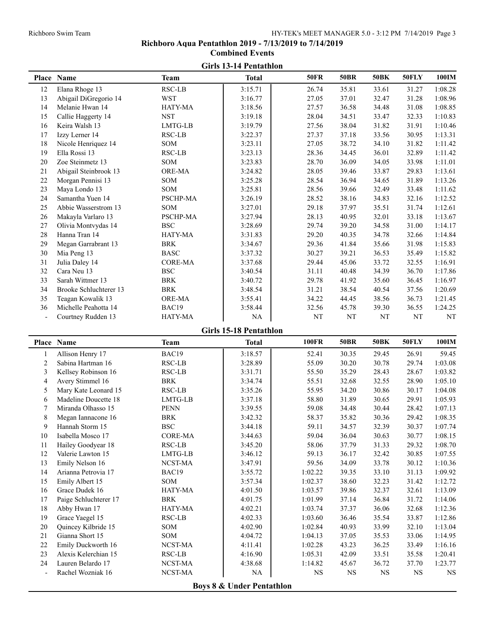# **Girls 13-14 Pentathlon Place Name Team Total 50FR 50BR 50BK 50FLY 100IM** Elana Rhoge 13 RSC-LB 3:15.71 26.74 35.81 33.61 31.27 1:08.28 Abigail DiGregorio 14 WST 3:16.77 27.05 37.01 32.47 31.28 1:08.96 Melanie Hwan 14 HATY-MA 3:18.56 27.57 36.58 34.48 31.08 1:08.85 Callie Haggerty 14 NST 3:19.18 28.04 34.51 33.47 32.33 1:10.83 Keira Walsh 13 LMTG-LB 3:19.79 27.56 38.04 31.82 31.91 1:10.46 Izzy Lerner 14 RSC-LB 3:22.37 27.37 37.18 33.56 30.95 1:13.31 Nicole Henriquez 14 SOM 3:23.11 27.05 38.72 34.10 31.82 1:11.42 Ella Rossi 13 RSC-LB 3:23.13 28.36 34.45 36.01 32.89 1:11.42 20 Zoe Steinmetz 13 SOM 3:23.83 28.70 36.09 34.05 33.98 1:11.01 Abigail Steinbrook 13 ORE-MA 3:24.82 28.05 39.46 33.87 29.83 1:13.61 22 Morgan Pennisi 13 SOM 3:25.28 28.54 36.94 34.65 31.89 1:13.26 Maya Londo 13 SOM 3:25.81 28.56 39.66 32.49 33.48 1:11.62 Samantha Yuen 14 PSCHP-MA 3:26.19 28.52 38.16 34.83 32.16 1:12.52 Abbie Wasserstrom 13 SOM 3:27.01 29.18 37.97 35.51 31.74 1:12.61 Makayla Varlaro 13 PSCHP-MA 3:27.94 28.13 40.95 32.01 33.18 1:13.67 Olivia Montvydas 14 BSC 3:28.69 29.74 39.20 34.58 31.00 1:14.17 Hanna Tran 14 HATY-MA 3:31.83 29.20 40.35 34.78 32.66 1:14.84 Megan Garrabrant 13 BRK 3:34.67 29.36 41.84 35.66 31.98 1:15.83 30 Mia Peng 13 BASC 3:37.32 30.27 39.21 36.53 35.49 1:15.82 Julia Daley 14 CORE-MA 3:37.68 29.44 45.06 33.72 32.55 1:16.91 Cara Neu 13 BSC 3:40.54 31.11 40.48 34.39 36.70 1:17.86 Sarah Wittmer 13 BRK 3:40.72 29.78 41.92 35.60 36.45 1:16.97 Brooke Schluchterer 13 BRK 3:48.54 31.21 38.54 40.54 37.56 1:20.69 Teagan Kowalik 13 ORE-MA 3:55.41 34.22 44.45 38.56 36.73 1:21.45 Michelle Peahotta 14 BAC19 3:58.44 32.56 45.78 39.30 36.55 1:24.25 Courtney Rudden 13 HATY-MA NA NT NT NT NT NT NT **Girls 15-18 Pentathlon Place Name Team Total 100FR 50BR 50BK 50FLY 100IM** 1 Allison Henry 17 **BAC19** 1 3:18.57 52.41 30.35 29.45 26.91 59.45 Sabina Hartman 16 RSC-LB 3:28.89 55.09 30.20 30.78 29.74 1:03.08 Kellsey Robinson 16 RSC-LB 3:31.71 55.50 35.29 28.43 28.67 1:03.82 4 Avery Stimmel 16 BRK 1 3:34.74 55.51 32.68 32.55 28.90 1:05.10 Mary Kate Leonard 15 RSC-LB 3:35.26 55.95 34.20 30.86 30.17 1:04.08 Madeline Doucette 18 LMTG-LB 3:37.18 58.80 31.89 30.65 29.91 1:05.93 7 Miranda Olhasso 15 PENN 13:39.55 59.08 34.48 30.44 28.42 1:07.13

| 1  | Allison Henry 17      | BAC <sub>19</sub> | 3:18.57                              | 52.41     | 30.35     | 29.45 | 26.91     | 59.45     |
|----|-----------------------|-------------------|--------------------------------------|-----------|-----------|-------|-----------|-----------|
| 2  | Sabina Hartman 16     | RSC-LB            | 3:28.89                              | 55.09     | 30.20     | 30.78 | 29.74     | 1:03.08   |
| 3  | Kellsey Robinson 16   | RSC-LB            | 3:31.71                              | 55.50     | 35.29     | 28.43 | 28.67     | 1:03.82   |
| 4  | Avery Stimmel 16      | <b>BRK</b>        | 3:34.74                              | 55.51     | 32.68     | 32.55 | 28.90     | 1:05.10   |
| 5  | Mary Kate Leonard 15  | RSC-LB            | 3:35.26                              | 55.95     | 34.20     | 30.86 | 30.17     | 1:04.08   |
| 6  | Madeline Doucette 18  | LMTG-LB           | 3:37.18                              | 58.80     | 31.89     | 30.65 | 29.91     | 1:05.93   |
|    | Miranda Olhasso 15    | <b>PENN</b>       | 3:39.55                              | 59.08     | 34.48     | 30.44 | 28.42     | 1:07.13   |
| 8  | Megan Iannacone 16    | <b>BRK</b>        | 3:42.32                              | 58.37     | 35.82     | 30.36 | 29.42     | 1:08.35   |
| 9  | Hannah Storm 15       | <b>BSC</b>        | 3:44.18                              | 59.11     | 34.57     | 32.39 | 30.37     | 1:07.74   |
| 10 | Isabella Mosco 17     | <b>CORE-MA</b>    | 3:44.63                              | 59.04     | 36.04     | 30.63 | 30.77     | 1:08.15   |
| 11 | Hailey Goodyear 18    | <b>RSC-LB</b>     | 3:45.20                              | 58.06     | 37.79     | 31.33 | 29.32     | 1:08.70   |
| 12 | Valerie Lawton 15     | LMTG-LB           | 3:46.12                              | 59.13     | 36.17     | 32.42 | 30.85     | 1:07.55   |
| 13 | Emily Nelson 16       | NCST-MA           | 3:47.91                              | 59.56     | 34.09     | 33.78 | 30.12     | 1:10.36   |
| 14 | Arianna Petrovia 17   | BAC19             | 3:55.72                              | 1:02.22   | 39.35     | 33.10 | 31.13     | 1:09.92   |
| 15 | Emily Albert 15       | <b>SOM</b>        | 3:57.34                              | 1:02.37   | 38.60     | 32.23 | 31.42     | 1:12.72   |
| 16 | Grace Dudek 16        | <b>HATY-MA</b>    | 4:01.50                              | 1:03.57   | 39.86     | 32.37 | 32.61     | 1:13.09   |
| 17 | Paige Schluchterer 17 | <b>BRK</b>        | 4:01.75                              | 1:01.99   | 37.14     | 36.84 | 31.72     | 1:14.06   |
| 18 | Abby Hwan 17          | HATY-MA           | 4:02.21                              | 1:03.74   | 37.37     | 36.06 | 32.68     | 1:12.36   |
| 19 | Grace Yaegel 15       | <b>RSC-LB</b>     | 4:02.33                              | 1:03.60   | 36.46     | 35.54 | 33.87     | 1:12.86   |
| 20 | Quincey Kilbride 15   | SOM               | 4:02.90                              | 1:02.84   | 40.93     | 33.99 | 32.10     | 1:13.04   |
| 21 | Gianna Short 15       | <b>SOM</b>        | 4:04.72                              | 1:04.13   | 37.05     | 35.53 | 33.06     | 1:14.95   |
| 22 | Emily Duckworth 16    | NCST-MA           | 4:11.41                              | 1:02.28   | 43.23     | 36.25 | 33.49     | 1:16.16   |
| 23 | Alexis Kelerchian 15  | RSC-LB            | 4:16.90                              | 1:05.31   | 42.09     | 33.51 | 35.58     | 1:20.41   |
| 24 | Lauren Belardo 17     | NCST-MA           | 4:38.68                              | 1:14.82   | 45.67     | 36.72 | 37.70     | 1:23.77   |
|    | Rachel Wozniak 16     | NCST-MA           | NA                                   | <b>NS</b> | <b>NS</b> | NS    | <b>NS</b> | <b>NS</b> |
|    |                       |                   | <b>Boys 8 &amp; Under Pentathlon</b> |           |           |       |           |           |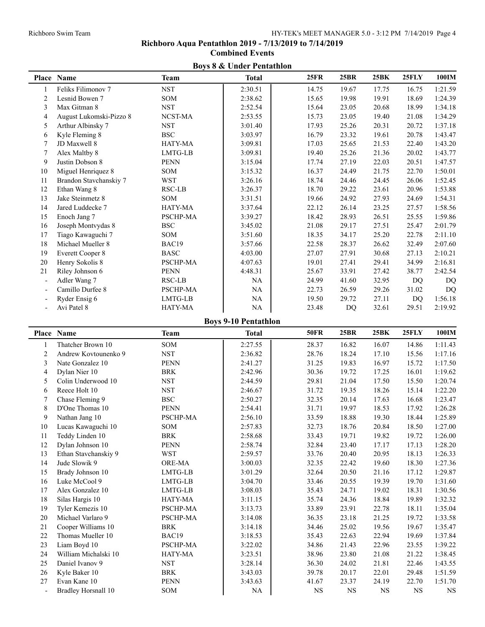# **Richboro Aqua Pentathlon 2019 - 7/13/2019 to 7/14/2019 Combined Events**

|                | <b>Boys 8 &amp; Under Pentathion</b> |             |                             |             |             |             |       |         |
|----------------|--------------------------------------|-------------|-----------------------------|-------------|-------------|-------------|-------|---------|
|                | Place Name                           | <b>Team</b> | <b>Total</b>                | <b>25FR</b> | <b>25BR</b> | <b>25BK</b> | 25FLY | 100IM   |
| 1              | Feliks Filimonov 7                   | <b>NST</b>  | 2:30.51                     | 14.75       | 19.67       | 17.75       | 16.75 | 1:21.59 |
| $\overline{c}$ | Lesnid Bowen 7                       | SOM         | 2:38.62                     | 15.65       | 19.98       | 19.91       | 18.69 | 1:24.39 |
| 3              | Max Gitman 8                         | <b>NST</b>  | 2:52.54                     | 15.64       | 23.05       | 20.68       | 18.99 | 1:34.18 |
| $\overline{4}$ | August Lukomski-Pizzo 8              | NCST-MA     | 2:53.55                     | 15.73       | 23.05       | 19.40       | 21.08 | 1:34.29 |
| 5              | Arthur Albinsky 7                    | <b>NST</b>  | 3:01.40                     | 17.93       | 25.26       | 20.31       | 20.72 | 1:37.18 |
| 6              | Kyle Fleming 8                       | <b>BSC</b>  | 3:03.97                     | 16.79       | 23.32       | 19.61       | 20.78 | 1:43.47 |
| 7              | JD Maxwell 8                         | HATY-MA     | 3:09.81                     | 17.03       | 25.65       | 21.53       | 22.40 | 1:43.20 |
| 7              | Alex Maltby 8                        | LMTG-LB     | 3:09.81                     | 19.40       | 25.26       | 21.36       | 20.02 | 1:43.77 |
| 9              | Justin Dobson 8                      | <b>PENN</b> | 3:15.04                     | 17.74       | 27.19       | 22.03       | 20.51 | 1:47.57 |
| 10             | Miguel Henriquez 8                   | SOM         | 3:15.32                     | 16.37       | 24.49       | 21.75       | 22.70 | 1:50.01 |
| 11             | Brandon Stavchanskiy 7               | <b>WST</b>  | 3:26.16                     | 18.74       | 24.46       | 24.45       | 26.06 | 1:52.45 |
| 12             | Ethan Wang 8                         | RSC-LB      | 3:26.37                     | 18.70       | 29.22       | 23.61       | 20.96 | 1:53.88 |
| 13             | Jake Steinmetz 8                     | SOM         | 3:31.51                     | 19.66       | 24.92       | 27.93       | 24.69 | 1:54.31 |
| 14             | Jared Luddecke 7                     | HATY-MA     | 3:37.64                     | 22.12       | 26.14       | 23.25       | 27.57 | 1:58.56 |
| 15             | Enoch Jang 7                         | PSCHP-MA    | 3:39.27                     | 18.42       | 28.93       | 26.51       | 25.55 | 1:59.86 |
| 16             | Joseph Montvydas 8                   | <b>BSC</b>  | 3:45.02                     | 21.08       | 29.17       | 27.51       | 25.47 | 2:01.79 |
| 17             | Tiago Kawaguchi 7                    | SOM         | 3:51.60                     | 18.35       | 34.17       | 25.20       | 22.78 | 2:11.10 |
| 18             | Michael Mueller 8                    | BAC19       | 3:57.66                     | 22.58       | 28.37       | 26.62       | 32.49 | 2:07.60 |
| 19             | <b>Everett Cooper 8</b>              | <b>BASC</b> | 4:03.00                     | 27.07       | 27.91       | 30.68       | 27.13 | 2:10.21 |
| $20\,$         | Henry Sokolis 8                      | PSCHP-MA    | 4:07.63                     | 19.01       | 27.41       | 29.41       | 34.99 | 2:16.81 |
| 21             | Riley Johnson 6                      | <b>PENN</b> | 4:48.31                     | 25.67       | 33.91       | 27.42       | 38.77 | 2:42.54 |
| $\overline{a}$ | Adler Wang 7                         | RSC-LB      | NA                          | 24.99       | 41.60       | 32.95       | DQ    | DQ      |
|                | Camillo Durfee 8                     | PSCHP-MA    | NA                          | 22.73       | 26.59       | 29.26       | 31.02 | DQ      |
|                | Ryder Ensig 6                        | LMTG-LB     | <b>NA</b>                   | 19.50       | 29.72       | 27.11       | DQ    | 1:56.18 |
|                | Avi Patel 8                          | HATY-MA     | NA                          | 23.48       | DQ          | 32.61       | 29.51 | 2:19.92 |
|                |                                      |             |                             |             |             |             |       |         |
|                |                                      |             | <b>Boys 9-10 Pentathlon</b> |             |             |             |       |         |
|                | Place Name                           | <b>Team</b> | <b>Total</b>                | <b>50FR</b> | <b>25BR</b> | 25BK        | 25FLY | 100IM   |
| 1              | Thatcher Brown 10                    | SOM         | 2:27.55                     | 28.37       | 16.82       | 16.07       | 14.86 | 1:11.43 |
| $\overline{c}$ | Andrew Kovtounenko 9                 | <b>NST</b>  | 2:36.82                     | 28.76       | 18.24       | 17.10       | 15.56 | 1:17.16 |
| 3              | Nate Gonzalez 10                     | <b>PENN</b> | 2:41.27                     | 31.25       | 19.83       | 16.97       | 15.72 | 1:17.50 |
| 4              | Dylan Nier 10                        | <b>BRK</b>  | 2:42.96                     | 30.36       | 19.72       | 17.25       | 16.01 | 1:19.62 |
| 5              | Colin Underwood 10                   | <b>NST</b>  | 2:44.59                     | 29.81       | 21.04       | 17.50       | 15.50 | 1:20.74 |
| 6              | Reece Holt 10                        | <b>NST</b>  | 2:46.67                     | 31.72       | 19.35       | 18.26       | 15.14 | 1:22.20 |
| 7              | Chase Fleming 9                      | <b>BSC</b>  | 2:50.27                     | 32.35       | 20.14       | 17.63       | 16.68 | 1:23.47 |
| 8              | D'One Thomas 10                      | <b>PENN</b> | 2:54.41                     | 31.71       | 19.97       | 18.53       | 17.92 | 1:26.28 |
| 9              | Nathan Jang 10                       | PSCHP-MA    | 2:56.10                     | 33.59       | 18.88       | 19.30       | 18.44 | 1:25.89 |
| 10             | Lucas Kawaguchi 10                   | SOM         | 2:57.83                     | 32.73       | 18.76       | 20.84       | 18.50 | 1:27.00 |
| 11             | Teddy Linden 10                      | <b>BRK</b>  | 2:58.68                     | 33.43       | 19.71       | 19.82       | 19.72 | 1:26.00 |
| 12             | Dylan Johnson 10                     | PENN        | 2:58.74                     | 32.84       | 23.40       | 17.17       | 17.13 | 1:28.20 |
| 13             | Ethan Stavchanskiy 9                 | <b>WST</b>  | 2:59.57                     | 33.76       | 20.40       | 20.95       | 18.13 | 1:26.33 |
| 14             | Jude Slowik 9                        | ORE-MA      | 3:00.03                     | 32.35       | 22.42       | 19.60       | 18.30 | 1:27.36 |
| 15             | Brady Johnson 10                     | LMTG-LB     | 3:01.29                     | 32.64       | 20.50       | 21.16       | 17.12 | 1:29.87 |
| 16             | Luke McCool 9                        | LMTG-LB     | 3:04.70                     | 33.46       | 20.55       | 19.39       | 19.70 | 1:31.60 |

# **Boys 8 & Under Pentathlon**

23 Liam Boyd 10 PSCHP-MA 3:22.02 34.86 21.43 22.96 23.55 1:39.22 24 William Michalski 10 HATY-MA 3:23.51 38.96 23.80 21.08 21.22 1:38.45 Daniel Ivanov 9 NST 3:28.14 36.30 24.02 21.81 22.46 1:43.55 26 Kyle Baker 10 BRK 8:43.03 39.78 20.17 22.01 29.48 1:51.59 27 Evan Kane 10 **PENN** 13:43.63 41.67 23.37 24.19 22.70 1:51.70 - Bradley Horsnall 10 SOM NA NS NS NS NS NS NS

17 Alex Gonzalez 10 LMTG-LB 3:08.03 35.43 24.71 19.02 18.31 1:30.56 18 Silas Hargis 10 **HATY-MA** 3:11.15 35.74 24.36 18.84 19.89 1:32.32 19 Tyler Kemezis 10 **PSCHP-MA** 3:13.73 33.89 23.91 22.78 18.11 1:35.04 20 Michael Varlaro 9 PSCHP-MA 3:14.08 36.35 23.18 21.25 19.72 1:33.58 Cooper Williams 10 BRK 3:14.18 34.46 25.02 19.56 19.67 1:35.47 22 Thomas Mueller 10 BAC19 3:18.53 35.43 22.63 22.94 19.69 1:37.84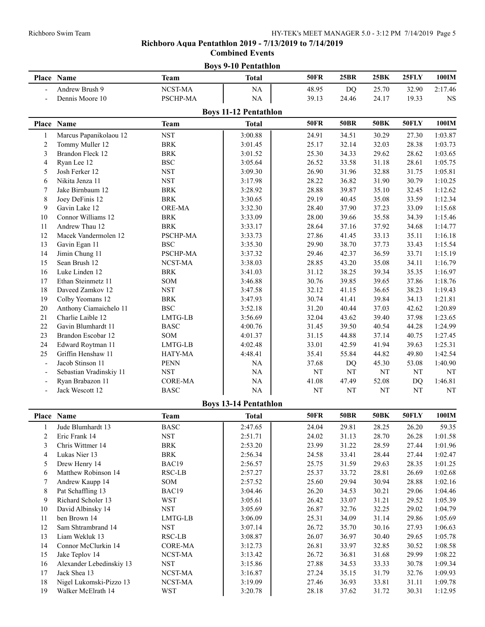# **Boys 9-10 Pentathlon Place Name Team Total 50FR 25BR 25BK 25FLY 100IM** - Andrew Brush 9 NCST-MA  $\vert$  NA  $\vert$  48.95 DQ 25.70 32.90 2:17.46 - Dennis Moore 10 PSCHP-MA NA 39.13 24.46 24.17 19.33 NS **Boys 11-12 Pentathlon Place Name Team Total 50FR 50BR 50BK 50FLY 100IM** 1 Marcus Papanikolaou 12 NST 3:00.88 24.91 34.51 30.29 27.30 1:03.87 2 Tommy Muller 12 BRK 1:03.73 BRK 1:03.73 25.17 32.14 32.03 28.38 1:03.73 3 Brandon Fleck 12 BRK 3:01.52 25.30 34.33 29.62 28.62 1:03.65 4 Ryan Lee 12 BSC 1:05.64 26.52 33.58 31.18 28.61 1:05.75 5 Josh Ferker 12 NST 3:09.30 26.90 31.96 32.88 31.75 1:05.81 6 Nikita Jenza 11 NST 3:17.98 28.22 36.82 31.90 30.79 1:10.25 7 Jake Birnbaum 12 BRK 3:28.92 28.88 39.87 35.10 32.45 1:12.62 8 Joey DeFinis 12 BRK 13:30.65 29.19 40.45 35.08 33.59 1:12.34 9 Gavin Lake 12 ORE-MA 3:32.30 28.40 37.90 37.23 33.09 1:15.68 10 Connor Williams 12 BRK 3:33.09 28.00 39.66 35.58 34.39 1:15.46 11 Andrew Thau 12 BRK 3:33.17 28.64 37.16 37.92 34.68 1:14.77 12 Macek Vandermolen 12 PSCHP-MA 3:33.73 27.86 41.45 33.13 35.11 1:16.18 13 Gavin Egan 11 BSC 13:35.30 29.90 38.70 37.73 33.43 1:15.54 14 Jimin Chung 11 PSCHP-MA 3:37.32 29.46 42.37 36.59 33.71 1:15.19 15 Sean Brush 12 NCST-MA 3:38.03 28.85 43.20 35.08 34.11 1:16.79 16 Luke Linden 12 BRK 8:41.03 31.12 38.25 39.34 35.35 1:16.97 17 Ethan Steinmetz 11 SOM 3:46.88 30.76 39.85 39.65 37.86 1:18.76 18 Daveed Zamkov 12 NST NST 3:47.58 1 32.12 41.15 36.65 38.23 1:19.43 19 Colby Yeomans 12 BRK 8 3:47.93 30.74 41.41 39.84 34.13 1:21.81 20 Anthony Ciamaichelo 11 BSC 3:52.18 31.20 40.44 37.03 42.62 1:20.89 21 Charlie Laible 12 LMTG-LB 3:56.69 32.04 43.62 39.40 37.98 1:23.65 22 Gavin Blumhardt 11 BASC 1:00.76 31.45 39.50 40.54 44.28 1:24.99 23 Brandon Escobar 12 SOM 4:01.37 31.15 44.88 37.14 40.75 1:27.45 24 Edward Roytman 11 LMTG-LB 1:02.48 33.01 42.59 41.94 39.63 1:25.31 25 Griffin Henshaw 11 HATY-MA 4:48.41 35.41 55.84 44.82 49.80 1:42.54 Jacob Stinson 11 **PENN** NA 37.68 DO 45.30 53.08 1:40.90 Sebastian Vradinskiy 11 NST NA NT NT NT NT NT NT - Ryan Brabazon 11 CORE-MA NA 41.08 47.49 52.08 DQ 1:46.81 - Jack Wescott 12 BASC NA NA NT NT NT NT NT **Boys 13-14 Pentathlon Place Name Team Total 50FR 50BR 50BK 50FLY 100IM** 1 Jude Blumhardt 13 BASC 1 2:47.65 24.04 29.81 28.25 26.20 59.35 2 Eric Frank 14 NST 2:51.71 24.02 31.13 28.70 26.28 1:01.58 3 Chris Wittmer 14 BRK 2:53.20 23.99 31.22 28.59 27.44 1:01.96 4 Lukas Nier 13 BRK 2:56.34 24.58 33.41 28.44 27.44 1:02.47 5 Drew Henry 14 BAC19 2:56.57 25.75 31.59 29.63 28.35 1:01.25 6 Matthew Robinson 14 RSC-LB 2:57.27 25.37 33.72 28.81 26.69 1:02.68 7 Andrew Kaupp 14 SOM 2:57.52 25.60 29.94 30.94 28.88 1:02.16 8 Pat Schaffling 13 BAC19 13:04.46 26.20 34.53 30.21 29.06 1:04.46 9 Richard Scholer 13 WST 1:05.39 3:05.61 26.42 33.07 31.21 29.52 1:05.39 10 David Albinsky 14 NST NST 3:05.69 26.87 32.76 32.25 29.02 1:04.79 11 ben Brown 14 LMTG-LB 3:06.09 25.31 34.09 31.14 29.86 1:05.69 12 Sam Shtrambrand 14 NST 3:07.14 26.72 35.70 30.16 27.93 1:06.63 13 Liam Wekluk 13 RSC-LB 3:08.87 26.07 36.97 30.40 29.65 1:05.78 14 Connor McClurkin 14 CORE-MA 3:12.73 26.81 33.97 32.85 30.52 1:08.58 15 Jake Teplov 14 NCST-MA 3:13.42 26.72 36.81 31.68 29.99 1:08.22 16 Alexander Lebedinskiy 13 NST 1:09.34 3:15.86 27.88 34.53 33.33 30.78 1:09.34 17 Jack Shea 13 NCST-MA 3:16.87 27.24 35.15 31.79 32.76 1:09.93 18 Nigel Lukomski-Pizzo 13 NCST-MA 3:19.09 27.46 36.93 33.81 31.11 1:09.78 19 Walker McElrath 14 WST 3:20.78 28.18 37.62 31.72 30.31 1:12.95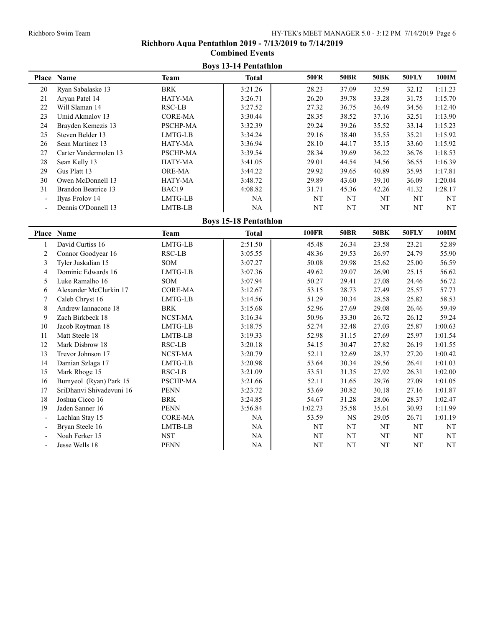# **Boys 13-14 Pentathlon Place Name Team Total 50FR 50BR 50BK 50FLY 100IM** 20 Ryan Sabalaske 13 BRK 3:21.26 28.23 37.09 32.59 32.12 1:11.23 21 Aryan Patel 14 HATY-MA 3:26.71 26.20 39.78 33.28 31.75 1:15.70 22 Will Slaman 14 RSC-LB 3:27.52 27.32 36.75 36.49 34.56 1:12.40 23 Umid Akmalov 13 CORE-MA 3:30.44 28.35 38.52 37.16 32.51 1:13.90 24 Brayden Kemezis 13 PSCHP-MA 3:32.39 29.24 39.26 35.52 33.14 1:15.23 25 Steven Belder 13 LMTG-LB 13:34.24 29.16 38.40 35.55 35.21 1:15.92 26 Sean Martinez 13 HATY-MA 3:36.94 28.10 44.17 35.15 33.60 1:15.92 27 Carter Vandermolen 13 PSCHP-MA 3:39.54 28.34 39.69 36.22 36.76 1:18.53 28 Sean Kelly 13 HATY-MA 3:41.05 29.01 44.54 34.56 36.55 1:16.39 29 Gus Platt 13 CRE-MA 1 3:44.22 29.92 39.65 40.89 35.95 1:17.81 30 Owen McDonnell 13 HATY-MA 3:48.72 29.89 43.60 39.10 36.09 1:20.04 31 Brandon Beatrice 13 BAC19 4:08.82 31.71 45.36 42.26 41.32 1:28.17 - Ilyas Frolov 14 LMTG-LB NA NT NT NT NT NT Dennis O'Donnell 13 LMTB-LB NA NT NT NT NT NT NT **Boys 15-18 Pentathlon Place Name Team Total 100FR 50BR 50BK 50FLY 100IM** 1 David Curtiss 16 LMTG-LB 2:51.50 45.48 26.34 23.58 23.21 52.89 2 Connor Goodyear 16 RSC-LB 3:05.55 48.36 29.53 26.97 24.79 55.90 3 Tyler Juskalian 15 SOM 1 3:07.27 50.08 29.98 25.62 25.00 56.59 4 Dominic Edwards 16 LMTG-LB 3:07.36 49.62 29.07 26.90 25.15 56.62 5 Luke Ramalho 16 SOM 3:07.94 50.27 29.41 27.08 24.46 56.72 6 Alexander McClurkin 17 CORE-MA <br>3:12.67 53.15 28.73 27.49 25.57 57.73 7 Caleb Chryst 16 LMTG-LB 13:14.56 51.29 30.34 28.58 25.82 58.53 8 Andrew Iannacone 18 BRK 8:15.68 52.96 27.69 29.08 26.46 59.49 9 Zach Birkbeck 18 NCST-MA 3:16.34 50.96 33.30 26.72 26.12 59.24 10 Jacob Roytman 18 LMTG-LB 13:18.75 52.74 32.48 27.03 25.87 1:00.63 11 Matt Steele 18 LMTB-LB 19.33 52.98 31.15 27.69 25.97 1:01.54 12 Mark Disbrow 18 RSC-LB 8:20.18 54.15 30.47 27.82 26.19 1:01.55 13 Trevor Johnson 17 NCST-MA 3:20.79 52.11 32.69 28.37 27.20 1:00.42 14 Damian Szlaga 17 LMTG-LB 13:20.98 1 53.64 30.34 29.56 26.41 1:01.03 15 Mark Rhoge 15 RSC-LB 13:21.09 53.51 31.35 27.92 26.31 1:02.00 16 Bumyeol (Ryan) Park 15 PSCHP-MA  $\begin{array}{|l}\n 3:21.66\n \end{array}$  52.11 31.65 29.76 27.09 1:01.05 17 SriDhanvi Shivadevuni 16 PENN 13:23.72 1 53.69 30.82 30.18 27.16 1:01.87 18 Joshua Cicco 16 BRK 3:24.85 54.67 31.28 28.06 28.37 1:02.47 19 Jaden Sanner 16 **PENN** 13:56.84 1:02.73 35.58 35.61 30.93 1:11.99 Lachlan Stay 15 CORE-MA NA NA 53.59 NS 29.05 26.71 1:01.19 Bryan Steele 16 LMTB-LB NA NT NT NT NT NT NT Noah Ferker 15 NST NT NA NT NT NT NT NT NT NT - Jesse Wells 18 PENN NA NA NT NT NT NT NT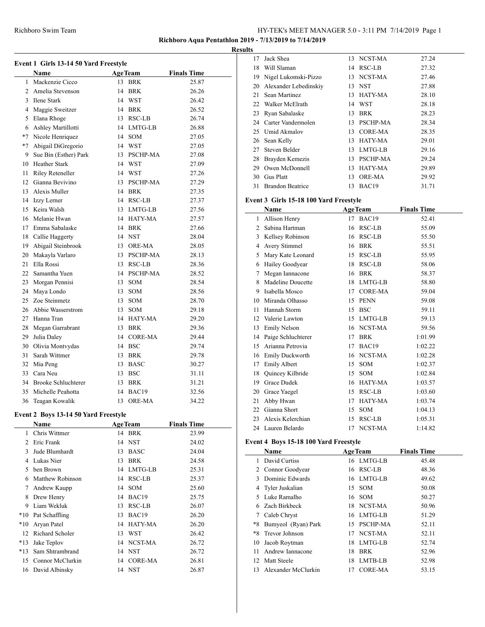**Richboro Aqua Pentathlon 2019 - 7/13/2019 to 7/14/2019**

**Results**

| Event 1 Girls 13-14 50 Yard Freestyle |                                      |    |                   |                    |  |  |  |
|---------------------------------------|--------------------------------------|----|-------------------|--------------------|--|--|--|
|                                       | Name                                 |    | <b>AgeTeam</b>    | <b>Finals Time</b> |  |  |  |
| $\mathbf{1}$                          | Mackenzie Cicco                      |    | 13 BRK            | 25.87              |  |  |  |
|                                       | 2 Amelia Stevenson                   |    | 14 BRK            | 26.26              |  |  |  |
|                                       | 3 Ilene Stark                        |    | 14 WST            | 26.42              |  |  |  |
|                                       | 4 Maggie Sweitzer                    |    | 14 BRK            | 26.52              |  |  |  |
|                                       | 5 Elana Rhoge                        |    | 13 RSC-LB         | 26.74              |  |  |  |
|                                       | 6 Ashley Martillotti                 |    | 14 LMTG-LB        | 26.88              |  |  |  |
|                                       | *7 Nicole Henriquez                  |    | 14 SOM            | 27.05              |  |  |  |
|                                       | *7 Abigail DiGregorio                |    | 14 WST            | 27.05              |  |  |  |
|                                       | 9 Sue Bin (Esther) Park              |    | 13 PSCHP-MA       | 27.08              |  |  |  |
|                                       | 10 Heather Stark                     |    | 14 WST            | 27.09              |  |  |  |
| 11                                    | Riley Reteneller                     |    | 14 WST            | 27.26              |  |  |  |
|                                       | 12 Gianna Bevivino                   |    | 13 PSCHP-MA       | 27.29              |  |  |  |
|                                       | 13 Alexis Muller                     |    | 14 BRK            | 27.35              |  |  |  |
|                                       | 14 Izzy Lerner                       |    | 14 RSC-LB         | 27.37              |  |  |  |
|                                       | 15 Keira Walsh                       |    | 13 LMTG-LB        | 27.56              |  |  |  |
|                                       | 16 Melanie Hwan                      |    | 14 HATY-MA        | 27.57              |  |  |  |
|                                       | 17 Emma Sabalaske                    |    | 14 BRK            | 27.66              |  |  |  |
|                                       | 18 Callie Haggerty                   |    | 14 NST            | 28.04              |  |  |  |
| 19                                    | Abigail Steinbrook                   |    | 13 ORE-MA         | 28.05              |  |  |  |
|                                       | 20 Makayla Varlaro                   |    | 13 PSCHP-MA       | 28.13              |  |  |  |
| 21                                    | Ella Rossi                           |    | 13 RSC-LB         | 28.36              |  |  |  |
|                                       | 22 Samantha Yuen                     |    | 14 PSCHP-MA       | 28.52              |  |  |  |
| 23                                    | Morgan Pennisi                       |    | 13 SOM            | 28.54              |  |  |  |
|                                       | 24 Maya Londo                        |    | 13 SOM            | 28.56              |  |  |  |
|                                       | 25 Zoe Steinmetz                     |    | 13 SOM            | 28.70              |  |  |  |
|                                       | 26 Abbie Wasserstrom                 |    | 13 SOM            | 29.18              |  |  |  |
|                                       | 27 Hanna Tran                        |    | 14 HATY-MA        | 29.20              |  |  |  |
|                                       | 28 Megan Garrabrant                  |    | 13 BRK            | 29.36              |  |  |  |
| 29                                    | Julia Daley                          |    | 14 CORE-MA        | 29.44              |  |  |  |
|                                       | 30 Olivia Montvydas                  |    | 14 BSC            | 29.74              |  |  |  |
| 31                                    | Sarah Wittmer                        |    | 13 BRK            | 29.78              |  |  |  |
|                                       | 32 Mia Peng                          |    | 13 BASC           | 30.27              |  |  |  |
|                                       | 33 Cara Neu                          |    | 13 BSC            | 31.11              |  |  |  |
|                                       | 34 Brooke Schluchterer               |    | 13 BRK            | 31.21              |  |  |  |
| 35                                    | Michelle Peahotta                    |    | 14 BAC19          | 32.56              |  |  |  |
| 36                                    | Teagan Kowalik                       | 13 | ORE-MA            | 34.22              |  |  |  |
|                                       | Event 2 Boys 13-14 50 Yard Freestyle |    |                   |                    |  |  |  |
|                                       | <b>Name</b>                          |    | <b>AgeTeam</b>    | <b>Finals Time</b> |  |  |  |
| 1                                     | Chris Wittmer                        |    | 14 BRK            | 23.99              |  |  |  |
|                                       | 2 Eric Frank                         |    | 14 NST            | 24.02              |  |  |  |
| 3                                     | Jude Blumhardt                       | 13 | <b>BASC</b>       | 24.04              |  |  |  |
|                                       | 4 Lukas Nier                         | 13 | <b>BRK</b>        | 24.58              |  |  |  |
|                                       | 5 ben Brown                          |    | 14 LMTG-LB        | 25.31              |  |  |  |
| 6                                     | <b>Matthew Robinson</b>              |    | 14 RSC-LB         | 25.37              |  |  |  |
| 7                                     | Andrew Kaupp                         |    | 14 SOM            | 25.60              |  |  |  |
| 8                                     | Drew Henry                           |    | 14 BAC19          | 25.75              |  |  |  |
| 9                                     | Liam Wekluk                          |    | 13 RSC-LB         | 26.07              |  |  |  |
| $*10$                                 | Pat Schaffling                       | 13 | BAC <sub>19</sub> | 26.20              |  |  |  |
| *10                                   | Aryan Patel                          |    | 14 HATY-MA        | 26.20              |  |  |  |
| 12                                    | Richard Scholer                      | 13 | <b>WST</b>        | 26.42              |  |  |  |
| $*13$                                 | Jake Teplov                          | 14 | NCST-MA           | 26.72              |  |  |  |
| *13                                   | Sam Shtrambrand                      |    | 14 NST            | 26.72              |  |  |  |
| 15                                    | Connor McClurkin                     | 14 | <b>CORE-MA</b>    | 26.81              |  |  |  |
| 16                                    | David Albinsky                       | 14 | <b>NST</b>        | 26.87              |  |  |  |

| s  |                         |    |                   |       |
|----|-------------------------|----|-------------------|-------|
| 17 | Jack Shea               |    | 13 NCST-MA        | 27.24 |
| 18 | Will Slaman             | 14 | RSC-LB            | 27.32 |
| 19 | Nigel Lukomski-Pizzo    |    | 13 NCST-MA        | 27.46 |
| 20 | Alexander Lebedinskiy   |    | 13 NST            | 27.88 |
| 21 | Sean Martinez           | 13 | HATY-MA           | 28.10 |
| 22 | Walker McElrath         |    | 14 WST            | 28.18 |
| 23 | Ryan Sabalaske          | 13 | <b>BRK</b>        | 28.23 |
| 24 | Carter Vandermolen      | 13 | PSCHP-MA          | 28.34 |
| 25 | Umid Akmalov            | 13 | CORE-MA           | 28.35 |
| 26 | Sean Kelly              | 13 | HATY-MA           | 29.01 |
|    | 27 Steven Belder        |    | 13 LMTG-LB        | 29.16 |
| 28 | Brayden Kemezis         | 13 | PSCHP-MA          | 29.24 |
| 29 | Owen McDonnell          | 13 | HATY-MA           | 29.89 |
| 30 | <b>Gus Platt</b>        | 13 | <b>ORE-MA</b>     | 29.92 |
| 31 | <b>Brandon Beatrice</b> | 13 | BAC <sub>19</sub> | 31.71 |

## **Event 3 Girls 15-18 100 Yard Freestyle**

|    | Name                   |    | <b>AgeTeam</b> | <b>Finals Time</b> |
|----|------------------------|----|----------------|--------------------|
| 1  | Allison Henry          | 17 | BAC19          | 52.41              |
| 2  | Sabina Hartman         | 16 | RSC-LB         | 55.09              |
| 3  | Kellsey Robinson       | 16 | <b>RSC-LB</b>  | 55.50              |
| 4  | Avery Stimmel          | 16 | <b>BRK</b>     | 55.51              |
| 5  | Mary Kate Leonard      | 15 | RSC-LB         | 55.95              |
| 6  | Hailey Goodyear        | 18 | RSC-LB         | 58.06              |
| 7  | Megan Iannacone        | 16 | <b>BRK</b>     | 58.37              |
| 8  | Madeline Doucette      | 18 | LMTG-LB        | 58.80              |
| 9  | Isabella Mosco         | 17 | <b>CORE-MA</b> | 59.04              |
| 10 | Miranda Olhasso        | 15 | <b>PENN</b>    | 59.08              |
| 11 | Hannah Storm           | 15 | <b>BSC</b>     | 59.11              |
| 12 | Valerie Lawton         | 15 | LMTG-LB        | 59.13              |
| 13 | <b>Emily Nelson</b>    | 16 | NCST-MA        | 59.56              |
| 14 | Paige Schluchterer     | 17 | <b>BRK</b>     | 1:01.99            |
| 15 | Arianna Petrovia       | 17 | BAC19          | 1:02.22            |
| 16 | <b>Emily Duckworth</b> | 16 | NCST-MA        | 1:02.28            |
| 17 | <b>Emily Albert</b>    | 15 | <b>SOM</b>     | 1:02.37            |
| 18 | Quincey Kilbride       | 15 | <b>SOM</b>     | 1:02.84            |
| 19 | <b>Grace Dudek</b>     | 16 | <b>HATY-MA</b> | 1:03.57            |
| 20 | Grace Yaegel           | 15 | <b>RSC-LB</b>  | 1:03.60            |
| 21 | Abby Hwan              | 17 | HATY-MA        | 1:03.74            |
| 22 | Gianna Short           | 15 | <b>SOM</b>     | 1:04.13            |
| 23 | Alexis Kelerchian      | 15 | RSC-LB         | 1:05.31            |
| 24 | Lauren Belardo         | 17 | NCST-MA        | 1:14.82            |

## **Event 4 Boys 15-18 100 Yard Freestyle**

| Name            |                     |    | <b>AgeTeam</b> | <b>Finals Time</b> |
|-----------------|---------------------|----|----------------|--------------------|
|                 | David Curtiss       |    | 16 LMTG-LB     | 45.48              |
|                 | 2 Connor Goodyear   |    | 16 RSC-LB      | 48.36              |
| 3               | Dominic Edwards     |    | 16 LMTG-LB     | 49.62              |
|                 | 4 Tyler Juskalian   |    | 15 SOM         | 50.08              |
|                 | 5 Luke Ramalho      |    | 16 SOM         | 50.27              |
| 6.              | Zach Birkbeck       |    | 18 NCST-MA     | 50.96              |
| 7               | Caleb Chryst        |    | 16 LMTG-LB     | 51.29              |
| *8              | Bumyeol (Ryan) Park |    | 15 PSCHP-MA    | 52.11              |
|                 | *8 Trevor Johnson   |    | 17 NCST-MA     | 52.11              |
| 10              | Jacob Roytman       | 18 | LMTG-LB        | 52.74              |
| 11              | Andrew Jannacone    | 18 | <b>BRK</b>     | 52.96              |
| 12 <sub>1</sub> | <b>Matt Steele</b>  | 18 | LMTB-LB        | 52.98              |
| 13.             | Alexander McClurkin | 17 | CORE-MA        | 53.15              |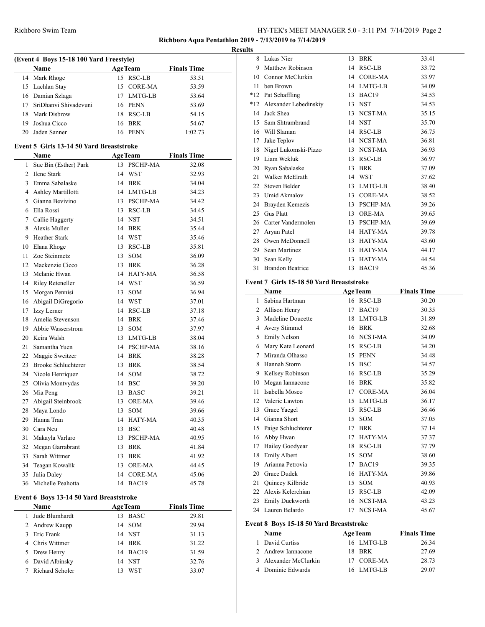## **Richboro Aqua Pentathlon 2019 - 7/13/2019 to 7/14/2019**

#### **Results**

 $\overline{\phantom{a}}$ 

|    | (Event 4 Boys 15-18 100 Yard Freestyle) |                |             |                    |
|----|-----------------------------------------|----------------|-------------|--------------------|
|    | <b>Name</b>                             | <b>AgeTeam</b> |             | <b>Finals Time</b> |
|    | 14 Mark Rhoge                           |                | 15 RSC-LB   | 53.51              |
|    | 15 Lachlan Stay                         |                | 15 CORE-MA  | 53.59              |
|    | 16 Damian Szlaga                        |                | 17 LMTG-LB  | 53.64              |
|    | 17 SriDhanvi Shivadevuni                |                | 16 PENN     | 53.69              |
|    | 18 Mark Disbrow                         | 18             | RSC-LB      | 54.15              |
| 19 | Joshua Cicco                            | 16             | BRK         | 54.67              |
| 20 | Jaden Sanner                            | 16             | <b>PENN</b> | 1:02.73            |

#### **Event 5 Girls 13-14 50 Yard Breaststroke**

|                | Name                                    | <b>AgeTeam</b>   | <b>Finals Time</b> |  |
|----------------|-----------------------------------------|------------------|--------------------|--|
| $\mathbf{1}$   | Sue Bin (Esther) Park                   | 13 PSCHP-MA      | 32.08              |  |
| $\overline{2}$ | Ilene Stark                             | 14 WST           | 32.93              |  |
| 3              | Emma Sabalaske                          | 14 BRK           | 34.04              |  |
| 4              | Ashley Martillotti                      | 14 LMTG-LB       | 34.23              |  |
| 5              | Gianna Bevivino                         | 13 PSCHP-MA      | 34.42              |  |
| 6              | Ella Rossi                              | 13 RSC-LB        | 34.45              |  |
| 7              | Callie Haggerty                         | 14 NST           | 34.51              |  |
| 8              | Alexis Muller                           | 14 BRK           | 35.44              |  |
| 9              | <b>Heather Stark</b>                    | 14 WST           | 35.46              |  |
| 10             | Elana Rhoge                             | 13 RSC-LB        | 35.81              |  |
| 11             | Zoe Steinmetz                           | 13 SOM           | 36.09              |  |
| 12             | Mackenzie Cicco                         | 13 BRK           | 36.28              |  |
| 13             | Melanie Hwan                            | 14 HATY-MA       | 36.58              |  |
| 14             | Riley Reteneller                        | 14 WST           | 36.59              |  |
| 15             | Morgan Pennisi                          | 13 SOM           | 36.94              |  |
| 16             | Abigail DiGregorio                      | 14 WST           | 37.01              |  |
| 17             | Izzy Lerner                             | 14 RSC-LB        | 37.18              |  |
| 18             | Amelia Stevenson                        | 14 BRK           | 37.46              |  |
| 19             | Abbie Wasserstrom                       | 13 SOM           | 37.97              |  |
| 20             | Keira Walsh                             | 13 LMTG-LB       | 38.04              |  |
| 21             | Samantha Yuen                           | 14 PSCHP-MA      | 38.16              |  |
|                | 22 Maggie Sweitzer                      | 14 BRK           | 38.28              |  |
| 23             | <b>Brooke Schluchterer</b>              | 13 BRK           | 38.54              |  |
|                | 24 Nicole Henriquez                     | 14 SOM           | 38.72              |  |
| 25             | Olivia Montvydas                        | 14 BSC           | 39.20              |  |
| 26             | Mia Peng                                | 13 BASC          | 39.21              |  |
| 27             | Abigail Steinbrook                      | 13 ORE-MA        | 39.46              |  |
| 28             | Maya Londo                              | 13 SOM           | 39.66              |  |
| 29             | Hanna Tran                              | 14 HATY-MA       | 40.35              |  |
| 30             | Cara Neu                                | 13 BSC           | 40.48              |  |
| 31             | Makayla Varlaro                         | 13 PSCHP-MA      | 40.95              |  |
| 32             | Megan Garrabrant                        | 13 BRK           | 41.84              |  |
| 33             | Sarah Wittmer                           | 13 BRK           | 41.92              |  |
| 34             | Teagan Kowalik                          | 13 ORE-MA        | 44.45              |  |
| 35             | Julia Daley                             | 14 CORE-MA       | 45.06              |  |
| 36             | Michelle Peahotta                       | 14 BAC19         | 45.78              |  |
|                | Event 6 Boys 13-14 50 Yard Breaststroke |                  |                    |  |
|                | Name                                    | <b>AgeTeam</b>   | <b>Finals Time</b> |  |
|                | $1 -$ Inde Dhumbordt                    | $12 \text{ BAC}$ | 20.01              |  |

|  | Jude Blumhardt    | 13 BASC  | 29.81 |
|--|-------------------|----------|-------|
|  | 2 Andrew Kaupp    | 14 SOM   | 29.94 |
|  | 3 Eric Frank      | 14 NST   | 31.13 |
|  | 4 Chris Wittmer   | 14 BRK   | 31.22 |
|  | 5 Drew Henry      | 14 BAC19 | 31.59 |
|  | 6 David Albinsky  | 14 NST   | 32.76 |
|  | 7 Richard Scholer | 13 WST   | 33.07 |
|  |                   |          |       |

| 8     | Lukas Nier              | 13 | <b>BRK</b>        | 33.41 |
|-------|-------------------------|----|-------------------|-------|
| 9     | Matthew Robinson        | 14 | RSC-LB            | 33.72 |
| 10    | Connor McClurkin        |    | 14 CORE-MA        | 33.97 |
| 11    | ben Brown               |    | 14 LMTG-LB        | 34.09 |
| $*12$ | Pat Schaffling          | 13 | BAC <sub>19</sub> | 34.53 |
| $*12$ | Alexander Lebedinskiy   | 13 | <b>NST</b>        | 34.53 |
| 14    | Jack Shea               |    | 13 NCST-MA        | 35.15 |
| 15    | Sam Shtrambrand         |    | 14 NST            | 35.70 |
| 16    | Will Slaman             |    | 14 RSC-LB         | 36.75 |
| 17    | Jake Teplov             |    | 14 NCST-MA        | 36.81 |
| 18    | Nigel Lukomski-Pizzo    |    | 13 NCST-MA        | 36.93 |
| 19    | Liam Wekluk             | 13 | RSC-LB            | 36.97 |
|       | 20 Ryan Sabalaske       | 13 | <b>BRK</b>        | 37.09 |
| 21    | Walker McElrath         |    | 14 WST            | 37.62 |
| 22    | Steven Belder           |    | 13 LMTG-LB        | 38.40 |
| 23    | Umid Akmalov            | 13 | CORE-MA           | 38.52 |
| 24    | Brayden Kemezis         | 13 | PSCHP-MA          | 39.26 |
| 25    | <b>Gus Platt</b>        | 13 | <b>ORE-MA</b>     | 39.65 |
| 26    | Carter Vandermolen      |    | 13 PSCHP-MA       | 39.69 |
| 27    | Aryan Patel             |    | 14 HATY-MA        | 39.78 |
| 28    | Owen McDonnell          |    | 13 HATY-MA        | 43.60 |
| 29    | Sean Martinez           | 13 | HATY-MA           | 44.17 |
| 30    | Sean Kelly              | 13 | HATY-MA           | 44.54 |
| 31    | <b>Brandon Beatrice</b> | 13 | BAC19             | 45.36 |

#### **Event 7 Girls 15-18 50 Yard Breaststroke**

| Name |                                         |    | <b>AgeTeam</b> | <b>Finals Time</b> |  |  |  |  |  |
|------|-----------------------------------------|----|----------------|--------------------|--|--|--|--|--|
| 1    | Sabina Hartman                          | 16 | RSC-LB         | 30.20              |  |  |  |  |  |
| 2    | Allison Henry                           | 17 | BAC19          | 30.35              |  |  |  |  |  |
| 3    | Madeline Doucette                       | 18 | LMTG-LB        | 31.89              |  |  |  |  |  |
| 4    | Avery Stimmel                           | 16 | <b>BRK</b>     | 32.68              |  |  |  |  |  |
| 5    | <b>Emily Nelson</b>                     |    | 16 NCST-MA     | 34.09              |  |  |  |  |  |
| 6    | Mary Kate Leonard                       | 15 | RSC-LB         | 34.20              |  |  |  |  |  |
| 7    | Miranda Olhasso                         | 15 | <b>PENN</b>    | 34.48              |  |  |  |  |  |
| 8    | Hannah Storm                            | 15 | <b>BSC</b>     | 34.57              |  |  |  |  |  |
| 9    | Kellsey Robinson                        | 16 | RSC-LB         | 35.29              |  |  |  |  |  |
| 10   | Megan Iannacone                         | 16 | <b>BRK</b>     | 35.82              |  |  |  |  |  |
| 11   | Isabella Mosco                          | 17 | <b>CORE-MA</b> | 36.04              |  |  |  |  |  |
| 12   | Valerie Lawton                          | 15 | LMTG-LB        | 36.17              |  |  |  |  |  |
| 13   | Grace Yaegel                            | 15 | RSC-LB         | 36.46              |  |  |  |  |  |
| 14   | Gianna Short                            | 15 | <b>SOM</b>     | 37.05              |  |  |  |  |  |
| 15   | Paige Schluchterer                      | 17 | <b>BRK</b>     | 37.14              |  |  |  |  |  |
| 16   | Abby Hwan                               | 17 | HATY-MA        | 37.37              |  |  |  |  |  |
| 17   | Hailey Goodyear                         | 18 | <b>RSC-LB</b>  | 37.79              |  |  |  |  |  |
| 18   | <b>Emily Albert</b>                     | 15 | <b>SOM</b>     | 38.60              |  |  |  |  |  |
| 19   | Arianna Petrovia                        | 17 | BAC19          | 39.35              |  |  |  |  |  |
| 20   | <b>Grace Dudek</b>                      | 16 | <b>HATY-MA</b> | 39.86              |  |  |  |  |  |
| 21   | Quincey Kilbride                        | 15 | <b>SOM</b>     | 40.93              |  |  |  |  |  |
| 22   | Alexis Kelerchian                       | 15 | RSC-LB         | 42.09              |  |  |  |  |  |
| 23   | <b>Emily Duckworth</b>                  | 16 | NCST-MA        | 43.23              |  |  |  |  |  |
| 24   | Lauren Belardo                          | 17 | NCST-MA        | 45.67              |  |  |  |  |  |
|      | Event 8 Boys 15-18 50 Yard Breaststroke |    |                |                    |  |  |  |  |  |

| Name                  | <b>AgeTeam</b> | <b>Finals Time</b> |  |
|-----------------------|----------------|--------------------|--|
| 1 David Curtiss       | 16 LMTG-LB     | 26.34              |  |
| 2 Andrew Iannacone    | 18 BRK         | 27.69              |  |
| 3 Alexander McClurkin | 17 CORE-MA     | 28.73              |  |
| 4 Dominic Edwards     | 16 LMTG-LB     | 29.07              |  |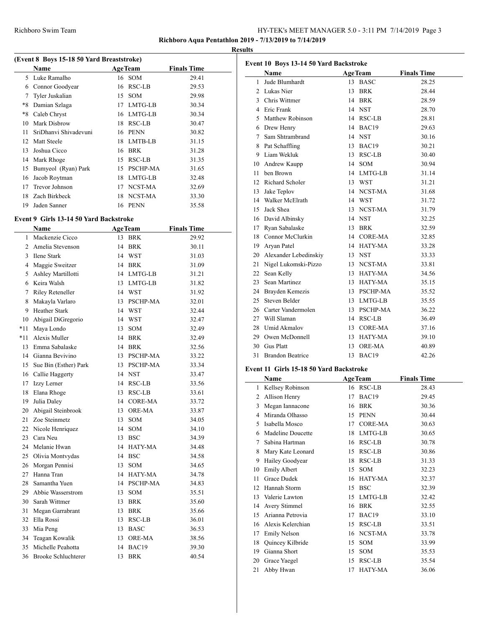**Richboro Aqua Pentathlon 2019 - 7/13/2019 to 7/14/2019 Results**

| (Event 8 Boys 15-18 50 Yard Breaststroke) |                       |    |                 |                    |  |  |
|-------------------------------------------|-----------------------|----|-----------------|--------------------|--|--|
|                                           | <b>Name</b>           |    | <b>AgeTeam</b>  | <b>Finals Time</b> |  |  |
| 5.                                        | Luke Ramalho          |    | 16 SOM          | 29.41              |  |  |
| 6                                         | Connor Goodyear       | 16 | RSC-LB          | 29.53              |  |  |
| 7                                         | Tyler Juskalian       | 15 | <b>SOM</b>      | 29.98              |  |  |
| *8                                        | Damian Szlaga         | 17 | LMTG-LB         | 30.34              |  |  |
| *8                                        | Caleb Chryst          | 16 | LMTG-LB         | 30.34              |  |  |
| 10                                        | Mark Disbrow          | 18 | RSC-LB          | 30.47              |  |  |
| 11                                        | SriDhanvi Shivadevuni | 16 | <b>PENN</b>     | 30.82              |  |  |
| 12                                        | Matt Steele           | 18 | LMTB-LB         | 31.15              |  |  |
| 13                                        | Joshua Cicco          | 16 | <b>BRK</b>      | 31.28              |  |  |
| 14                                        | Mark Rhoge            | 15 | RSC-LB          | 31.35              |  |  |
| 15                                        | Bumyeol (Ryan) Park   | 15 | <b>PSCHP-MA</b> | 31.65              |  |  |
| 16                                        | Jacob Roytman         | 18 | LMTG-LB         | 32.48              |  |  |
| 17                                        | <b>Trevor Johnson</b> | 17 | NCST-MA         | 32.69              |  |  |
| 18                                        | Zach Birkbeck         | 18 | NCST-MA         | 33.30              |  |  |
| 19                                        | Jaden Sanner          | 16 | <b>PENN</b>     | 35.58              |  |  |

#### **Event 9 Girls 13-14 50 Yard Backstroke**

|              | <b>Name</b>              | <b>AgeTeam</b> | <b>Finals Time</b> |
|--------------|--------------------------|----------------|--------------------|
| $\mathbf{1}$ | Mackenzie Cicco          | 13 BRK         | 29.92              |
|              | 2 Amelia Stevenson       | 14 BRK         | 30.11              |
| 3            | Ilene Stark              | 14 WST         | 31.03              |
|              | 4 Maggie Sweitzer        | 14 BRK         | 31.09              |
|              | 5 Ashley Martillotti     | 14 LMTG-LB     | 31.21              |
|              | 6 Keira Walsh            | 13 LMTG-LB     | 31.82              |
|              | 7 Riley Reteneller       | 14 WST         | 31.92              |
|              | 8 Makayla Varlaro        | 13 PSCHP-MA    | 32.01              |
| 9.           | <b>Heather Stark</b>     | 14 WST         | 32.44              |
|              | 10 Abigail DiGregorio    | 14 WST         | 32.47              |
| *11          | Maya Londo               | 13 SOM         | 32.49              |
| *11          | Alexis Muller            | 14 BRK         | 32.49              |
| 13           | Emma Sabalaske           | 14 BRK         | 32.56              |
|              | 14 Gianna Bevivino       | 13 PSCHP-MA    | 33.22              |
|              | 15 Sue Bin (Esther) Park | 13 PSCHP-MA    | 33.34              |
|              | 16 Callie Haggerty       | 14 NST         | 33.47              |
|              | 17 Izzy Lerner           | 14 RSC-LB      | 33.56              |
| 18           | Elana Rhoge              | 13 RSC-LB      | 33.61              |
| 19           | Julia Daley              | 14 CORE-MA     | 33.72              |
| 20           | Abigail Steinbrook       | 13 ORE-MA      | 33.87              |
| 21           | Zoe Steinmetz            | 13 SOM         | 34.05              |
|              | 22 Nicole Henriquez      | 14 SOM         | 34.10              |
|              | 23 Cara Neu              | 13 BSC         | 34.39              |
|              | 24 Melanie Hwan          | 14 HATY-MA     | 34.48              |
|              | 25 Olivia Montvydas      | 14 BSC         | 34.58              |
|              | 26 Morgan Pennisi        | 13 SOM         | 34.65              |
|              | 27 Hanna Tran            | 14 HATY-MA     | 34.78              |
| 28           | Samantha Yuen            | 14 PSCHP-MA    | 34.83              |
|              | 29 Abbie Wasserstrom     | 13 SOM         | 35.51              |
|              | 30 Sarah Wittmer         | 13 BRK         | 35.60              |
| 31           | Megan Garrabrant         | 13 BRK         | 35.66              |
| 32           | Ella Rossi               | 13 RSC-LB      | 36.01              |
| 33           | Mia Peng                 | 13 BASC        | 36.53              |
| 34           | Teagan Kowalik           | 13 ORE-MA      | 38.56              |
| 35           | Michelle Peahotta        | 14 BAC19       | 39.30              |
|              | 36 Brooke Schluchterer   | 13 BRK         | 40.54              |
|              |                          |                |                    |

| Event 10 Boys 13-14 50 Yard Backstroke |                          |    |                |                    |  |  |
|----------------------------------------|--------------------------|----|----------------|--------------------|--|--|
|                                        | Name                     |    | <b>AgeTeam</b> | <b>Finals Time</b> |  |  |
| 1                                      | Jude Blumhardt           |    | 13 BASC        | 28.25              |  |  |
| $\mathfrak{D}$                         | Lukas Nier               |    | 13 BRK         | 28.44              |  |  |
|                                        | 3 Chris Wittmer          |    | 14 BRK         | 28.59              |  |  |
|                                        | 4 Eric Frank             |    | 14 NST         | 28.70              |  |  |
| 5.                                     | Matthew Robinson         |    | 14 RSC-LB      | 28.81              |  |  |
|                                        | 6 Drew Henry             |    | 14 BAC19       | 29.63              |  |  |
|                                        | 7 Sam Shtrambrand        |    | 14 NST         | 30.16              |  |  |
|                                        | 8 Pat Schaffling         |    | 13 BAC19       | 30.21              |  |  |
| 9                                      | Liam Wekluk              |    | 13 RSC-LB      | 30.40              |  |  |
|                                        | 10 Andrew Kaupp          |    | 14 SOM         | 30.94              |  |  |
| 11                                     | ben Brown                |    | 14 LMTG-LB     | 31.14              |  |  |
|                                        | 12 Richard Scholer       |    | 13 WST         | 31.21              |  |  |
|                                        | 13 Jake Teplov           |    | 14 NCST-MA     | 31.68              |  |  |
|                                        | 14 Walker McElrath       |    | 14 WST         | 31.72              |  |  |
|                                        | 15 Jack Shea             |    | 13 NCST-MA     | 31.79              |  |  |
|                                        | 16 David Albinsky        |    | 14 NST         | 32.25              |  |  |
|                                        | 17 Ryan Sabalaske        |    | 13 BRK         | 32.59              |  |  |
|                                        | 18 Connor McClurkin      |    | 14 CORE-MA     | 32.85              |  |  |
| 19                                     | Aryan Patel              |    | 14 HATY-MA     | 33.28              |  |  |
|                                        | 20 Alexander Lebedinskiy |    | 13 NST         | 33.33              |  |  |
| 21                                     | Nigel Lukomski-Pizzo     |    | 13 NCST-MA     | 33.81              |  |  |
| 22                                     | Sean Kelly               |    | 13 HATY-MA     | 34.56              |  |  |
| 23                                     | Sean Martinez            |    | 13 HATY-MA     | 35.15              |  |  |
|                                        | 24 Brayden Kemezis       |    | 13 PSCHP-MA    | 35.52              |  |  |
|                                        | 25 Steven Belder         |    | 13 LMTG-LB     | 35.55              |  |  |
|                                        | 26 Carter Vandermolen    |    | 13 PSCHP-MA    | 36.22              |  |  |
| 27                                     | Will Slaman              | 14 | <b>RSC-LB</b>  | 36.49              |  |  |
|                                        | 28 Umid Akmalov          |    | 13 CORE-MA     | 37.16              |  |  |
|                                        | 29 Owen McDonnell        |    | 13 HATY-MA     | 39.10              |  |  |
|                                        | 30 Gus Platt             | 13 | <b>ORE-MA</b>  | 40.89              |  |  |
| 31                                     | <b>Brandon Beatrice</b>  |    | 13 BAC19       | 42.26              |  |  |

## **Event 11 Girls 15-18 50 Yard Backstroke**

|    | Name                |    | <b>AgeTeam</b> | <b>Finals Time</b> |
|----|---------------------|----|----------------|--------------------|
| 1  | Kellsey Robinson    | 16 | RSC-LB         | 28.43              |
| 2  | Allison Henry       | 17 | BAC19          | 29.45              |
| 3  | Megan Iannacone     | 16 | <b>BRK</b>     | 30.36              |
| 4  | Miranda Olhasso     | 15 | <b>PENN</b>    | 30.44              |
| 5. | Isabella Mosco      | 17 | <b>CORE-MA</b> | 30.63              |
| 6  | Madeline Doucette   | 18 | LMTG-LB        | 30.65              |
| 7  | Sabina Hartman      | 16 | RSC-LB         | 30.78              |
| 8  | Mary Kate Leonard   | 15 | RSC-LB         | 30.86              |
| 9  | Hailey Goodyear     | 18 | RSC-LB         | 31.33              |
| 10 | <b>Emily Albert</b> | 15 | <b>SOM</b>     | 32.23              |
| 11 | Grace Dudek         | 16 | HATY-MA        | 32.37              |
| 12 | Hannah Storm        | 15 | <b>BSC</b>     | 32.39              |
| 13 | Valerie Lawton      | 15 | LMTG-LB        | 32.42              |
| 14 | Avery Stimmel       | 16 | <b>BRK</b>     | 32.55              |
| 15 | Arianna Petrovia    | 17 | BAC19          | 33.10              |
| 16 | Alexis Kelerchian   | 15 | RSC-LB         | 33.51              |
| 17 | <b>Emily Nelson</b> | 16 | NCST-MA        | 33.78              |
| 18 | Quincey Kilbride    | 15 | <b>SOM</b>     | 33.99              |
| 19 | Gianna Short        | 15 | <b>SOM</b>     | 35.53              |
| 20 | Grace Yaegel        | 15 | RSC-LB         | 35.54              |
| 21 | Abby Hwan           | 17 | <b>HATY-MA</b> | 36.06              |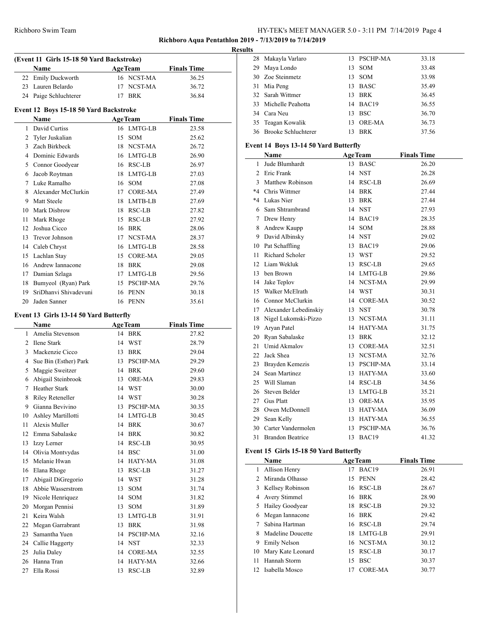## Richboro Swim Team HY-TEK's MEET MANAGER 5.0 - 3:11 PM 7/14/2019 Page 4

**Richboro Aqua Pentathlon 2019 - 7/13/2019 to 7/14/2019**

#### **Results**

|                | (Event 11 Girls 15-18 50 Yard Backstroke) |    |                 |                    |
|----------------|-------------------------------------------|----|-----------------|--------------------|
|                | Name                                      |    | <b>AgeTeam</b>  | <b>Finals Time</b> |
|                | 22 Emily Duckworth                        |    | 16 NCST-MA      | 36.25              |
|                | 23 Lauren Belardo                         |    | 17 NCST-MA      | 36.72              |
|                | 24 Paige Schluchterer                     |    | 17 BRK          | 36.84              |
|                | Event 12 Boys 15-18 50 Yard Backstroke    |    |                 |                    |
|                | Name                                      |    | <b>AgeTeam</b>  | <b>Finals Time</b> |
| $\mathbf{1}$   | David Curtiss                             |    | 16 LMTG-LB      | 23.58              |
| $\overline{2}$ | Tyler Juskalian                           | 15 | <b>SOM</b>      | 25.62              |
|                | 3 Zach Birkbeck                           |    | 18 NCST-MA      | 26.72              |
|                | 4 Dominic Edwards                         |    | 16 LMTG-LB      | 26.90              |
|                | 5 Connor Goodyear                         |    | 16 RSC-LB       | 26.97              |
|                | 6 Jacob Roytman                           |    | 18 LMTG-LB      | 27.03              |
|                | 7 Luke Ramalho                            |    | 16 SOM          | 27.08              |
| 8              | Alexander McClurkin                       |    | 17 CORE-MA      | 27.49              |
|                | 9 Matt Steele                             |    | 18 LMTB-LB      | 27.69              |
|                | 10 Mark Disbrow                           |    | 18 RSC-LB       | 27.82              |
|                | 11 Mark Rhoge                             | 15 | RSC-LB          | 27.92              |
|                | 12 Joshua Cicco                           | 16 | <b>BRK</b>      | 28.06              |
| 13             | <b>Trevor Johnson</b>                     |    | 17 NCST-MA      | 28.37              |
|                | 14 Caleb Chryst                           |    | 16 LMTG-LB      | 28.58              |
|                | 15 Lachlan Stay                           |    | 15 CORE-MA      | 29.05              |
|                | 16 Andrew Iannacone                       |    | 18 BRK          | 29.08              |
|                | 17 Damian Szlaga                          |    | 17 LMTG-LB      | 29.56              |
|                | 18 Bumyeol (Ryan) Park                    |    | 15 PSCHP-MA     | 29.76              |
| 19             | SriDhanvi Shivadevuni                     |    | 16 PENN         | 30.18              |
| 20             | Jaden Sanner                              | 16 | <b>PENN</b>     | 35.61              |
|                | Event 13 Girls 13-14 50 Yard Butterfly    |    |                 |                    |
|                | Name                                      |    | <b>AgeTeam</b>  | <b>Finals Time</b> |
|                | 1 Amelia Stevenson                        |    | 14 BRK          | 27.82              |
|                | 2 Ilene Stark                             |    | 14 WST          | 28.79              |
| 3              | Mackenzie Cicco                           |    | 13 BRK          | 29.04              |
| $\overline{4}$ | Sue Bin (Esther) Park                     | 13 | <b>PSCHP-MA</b> | 29.29              |
| 5              | Maggie Sweitzer                           |    | 14 BRK          | 29.60              |
|                | 6 Abigail Steinbrook                      | 13 | <b>ORE-MA</b>   | 29.83              |
|                | 7 Heather Stark                           |    | 14 WST          | 30.00              |
| 8              | Riley Reteneller                          | 14 | <b>WST</b>      | 30.28              |
| 9              | Gianna Bevivino                           | 13 | PSCHP-MA        | 30.35              |

|    | $\mathcal{O}(\mathfrak{u}\mathfrak{v})$ Diff (ESHIVI) I din |    | 1 OCTIL -1917A  | ムフ・ムフ | 23             |
|----|-------------------------------------------------------------|----|-----------------|-------|----------------|
| 5  | Maggie Sweitzer                                             | 14 | <b>BRK</b>      | 29.60 | 24             |
| 6  | Abigail Steinbrook                                          | 13 | ORE-MA          | 29.83 | 25             |
| 7  | <b>Heather Stark</b>                                        | 14 | <b>WST</b>      | 30.00 | 26             |
| 8  | <b>Riley Reteneller</b>                                     | 14 | <b>WST</b>      | 30.28 | 27             |
| 9  | Gianna Bevivino                                             | 13 | <b>PSCHP-MA</b> | 30.35 | 28             |
| 10 | Ashley Martillotti                                          | 14 | LMTG-LB         | 30.45 | 29             |
| 11 | Alexis Muller                                               | 14 | <b>BRK</b>      | 30.67 | 3 <sup>0</sup> |
| 12 | Emma Sabalaske                                              | 14 | <b>BRK</b>      | 30.82 | 31             |
| 13 | Izzy Lerner                                                 | 14 | <b>RSC-LB</b>   | 30.95 |                |
| 14 | Olivia Montvydas                                            | 14 | <b>BSC</b>      | 31.00 | Ever           |
| 15 | Melanie Hwan                                                | 14 | <b>HATY-MA</b>  | 31.08 |                |
| 16 | Elana Rhoge                                                 | 13 | <b>RSC-LB</b>   | 31.27 |                |
| 17 | Abigail DiGregorio                                          | 14 | <b>WST</b>      | 31.28 | 2              |
| 18 | Abbie Wasserstrom                                           | 13 | <b>SOM</b>      | 31.74 |                |
| 19 | Nicole Henriquez                                            | 14 | <b>SOM</b>      | 31.82 |                |
| 20 | Morgan Pennisi                                              | 13 | <b>SOM</b>      | 31.89 |                |
| 21 | Keira Walsh                                                 | 13 | LMTG-LB         | 31.91 | 6              |
| 22 | Megan Garrabrant                                            | 13 | <b>BRK</b>      | 31.98 |                |
| 23 | Samantha Yuen                                               | 14 | PSCHP-MA        | 32.16 | ξ              |
|    | 24 Callie Haggerty                                          |    | 14 NST          | 32.33 | ς              |
|    |                                                             |    |                 |       |                |

 Julia Daley 14 CORE-MA 32.55 Hanna Tran 14 HATY-MA 32.66 Ella Rossi 13 RSC-LB 32.89

| 28 Makayla Varlaro     |    | 13 PSCHP-MA | 33.18 |
|------------------------|----|-------------|-------|
| 29 Maya Londo          |    | 13 SOM      | 33.48 |
| 30 Zoe Steinmetz       |    | 13 SOM      | 33.98 |
| 31 Mia Peng            |    | 13 BASC     | 35.49 |
| 32 Sarah Wittmer       |    | 13 BRK      | 36.45 |
| 33 Michelle Peahotta   |    | 14 BAC19    | 36.55 |
| 34 Cara Neu            |    | 13 BSC      | 36.70 |
| 35 Teagan Kowalik      |    | 13 ORE-MA   | 36.73 |
| 36 Brooke Schluchterer | 13 | <b>BRK</b>  | 37.56 |

## **Event 14 Boys 13-14 50 Yard Butterfly**

|                | Name                    |    | <b>AgeTeam</b>  | <b>Finals Time</b> |
|----------------|-------------------------|----|-----------------|--------------------|
| 1              | Jude Blumhardt          | 13 | BASC            | 26.20              |
| $\mathfrak{D}$ | Eric Frank              | 14 | <b>NST</b>      | 26.28              |
| 3              | <b>Matthew Robinson</b> | 14 | RSC-LB          | 26.69              |
| $*4$           | Chris Wittmer           | 14 | <b>BRK</b>      | 27.44              |
| *4             | Lukas Nier              | 13 | <b>BRK</b>      | 27.44              |
| 6              | Sam Shtrambrand         |    | 14 NST          | 27.93              |
| 7              | Drew Henry              |    | 14 BAC19        | 28.35              |
| 8              | Andrew Kaupp            | 14 | <b>SOM</b>      | 28.88              |
| 9              | David Albinsky          |    | 14 NST          | 29.02              |
| 10             | Pat Schaffling          | 13 | BAC19           | 29.06              |
| 11             | Richard Scholer         |    | 13 WST          | 29.52              |
| 12             | Liam Wekluk             |    | 13 RSC-LB       | 29.65              |
| 13             | ben Brown               |    | 14 LMTG-LB      | 29.86              |
| 14             | Jake Teplov             |    | 14 NCST-MA      | 29.99              |
| 15             | Walker McElrath         |    | 14 WST          | 30.31              |
| 16             | Connor McClurkin        | 14 | <b>CORE-MA</b>  | 30.52              |
| 17             | Alexander Lebedinskiy   |    | 13 NST          | 30.78              |
| 18             | Nigel Lukomski-Pizzo    |    | 13 NCST-MA      | 31.11              |
| 19             | Aryan Patel             |    | 14 HATY-MA      | 31.75              |
| 20             | Ryan Sabalaske          | 13 | <b>BRK</b>      | 32.12              |
| 21             | <b>Umid Akmalov</b>     | 13 | <b>CORE-MA</b>  | 32.51              |
| 22             | Jack Shea               |    | 13 NCST-MA      | 32.76              |
| 23             | Brayden Kemezis         |    | 13 PSCHP-MA     | 33.14              |
| 24             | Sean Martinez           |    | 13 HATY-MA      | 33.60              |
| 25             | Will Slaman             |    | 14 RSC-LB       | 34.56              |
| 26             | Steven Belder           | 13 | LMTG-LB         | 35.21              |
| 27             | <b>Gus Platt</b>        | 13 | <b>ORE-MA</b>   | 35.95              |
| 28             | Owen McDonnell          |    | 13 HATY-MA      | 36.09              |
| 29             | Sean Kelly              |    | 13 HATY-MA      | 36.55              |
| 30             | Carter Vandermolen      | 13 | <b>PSCHP-MA</b> | 36.76              |
| 31             | <b>Brandon Beatrice</b> | 13 | BAC19           | 41.32              |

#### **Event 15 Girls 15-18 50 Yard Butterfly**

|               | Name                |    | <b>AgeTeam</b> | <b>Finals Time</b> |
|---------------|---------------------|----|----------------|--------------------|
|               | 1 Allison Henry     | 17 | BAC19          | 26.91              |
| $\mathcal{L}$ | Miranda Olhasso     |    | 15 PENN        | 28.42              |
| 3             | Kellsey Robinson    |    | 16 RSC-LB      | 28.67              |
| 4             | Avery Stimmel       |    | 16 BRK         | 28.90              |
| 5             | Hailey Goodyear     |    | 18 RSC-LB      | 29.32              |
| 6             | Megan Iannacone     |    | 16 BRK         | 29.42              |
|               | Sabina Hartman      |    | 16 RSC-LB      | 29.74              |
| 8             | Madeline Doucette   |    | 18 LMTG-LB     | 29.91              |
| 9             | <b>Emily Nelson</b> |    | 16 NCST-MA     | 30.12              |
| 10            | Mary Kate Leonard   |    | 15 RSC-LB      | 30.17              |
| 11            | Hannah Storm        |    | 15 BSC         | 30.37              |
| 12            | Isabella Mosco      | 17 | <b>CORE-MA</b> | 30.77              |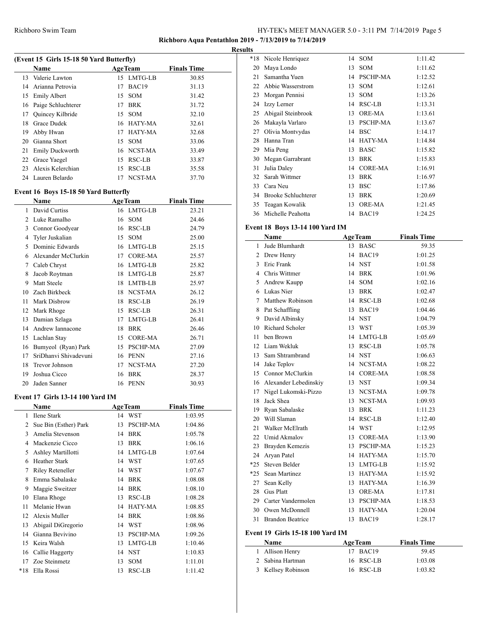## **Richboro Aqua Pentathlon 2019 - 7/13/2019 to 7/14/2019**

**Results**

| (Event 15 Girls 15-18 50 Yard Butterfly) |                         |    |                |                    |  |  |
|------------------------------------------|-------------------------|----|----------------|--------------------|--|--|
|                                          | Name                    |    | <b>AgeTeam</b> | <b>Finals Time</b> |  |  |
|                                          | 13 Valerie Lawton       |    | 15 LMTG-LB     | 30.85              |  |  |
| 14                                       | Arianna Petrovia        | 17 | BAC19          | 31.13              |  |  |
| 15                                       | Emily Albert            | 15 | <b>SOM</b>     | 31.42              |  |  |
| 16                                       | Paige Schluchterer      | 17 | <b>BRK</b>     | 31.72              |  |  |
| 17                                       | <b>Ouincey Kilbride</b> | 15 | <b>SOM</b>     | 32.10              |  |  |
| 18                                       | Grace Dudek             |    | 16 HATY-MA     | 32.61              |  |  |
| 19                                       | Abby Hwan               |    | 17 HATY-MA     | 32.68              |  |  |
| 20                                       | Gianna Short            | 15 | <b>SOM</b>     | 33.06              |  |  |
| 21                                       | Emily Duckworth         |    | 16 NCST-MA     | 33.49              |  |  |
| 22                                       | Grace Yaegel            | 15 | RSC-LB         | 33.87              |  |  |
| 23                                       | Alexis Kelerchian       |    | 15 RSC-LB      | 35.58              |  |  |
|                                          | 24 Lauren Belardo       | 17 | NCST-MA        | 37.70              |  |  |
|                                          |                         |    |                |                    |  |  |

# **Event 16 Boys 15-18 50 Yard Butterfly**

 $\overline{a}$ 

|    | Name                  | <b>AgeTeam</b> |                | <b>Finals Time</b> |  |
|----|-----------------------|----------------|----------------|--------------------|--|
| 1  | David Curtiss         |                | 16 LMTG-LB     | 23.21              |  |
| 2  | Luke Ramalho          | 16             | <b>SOM</b>     | 24.46              |  |
| 3  | Connor Goodyear       | 16             | RSC-LB         | 24.79              |  |
| 4  | Tyler Juskalian       | 15             | <b>SOM</b>     | 25.00              |  |
| 5  | Dominic Edwards       | 16             | LMTG-LB        | 25.15              |  |
| 6  | Alexander McClurkin   | 17             | <b>CORE-MA</b> | 25.57              |  |
| 7  | Caleb Chryst          | 16             | LMTG-LB        | 25.82              |  |
| 8  | Jacob Roytman         | 18             | LMTG-LB        | 25.87              |  |
| 9  | Matt Steele           | 18             | LMTB-LB        | 25.97              |  |
| 10 | Zach Birkbeck         | 18             | NCST-MA        | 26.12              |  |
| 11 | Mark Disbrow          | 18             | RSC-LB         | 26.19              |  |
| 12 | Mark Rhoge            | 15             | RSC-LB         | 26.31              |  |
| 13 | Damian Szlaga         | 17             | LMTG-LB        | 26.41              |  |
| 14 | Andrew Iannacone      | 18             | <b>BRK</b>     | 26.46              |  |
| 15 | Lachlan Stay          | 15             | <b>CORE-MA</b> | 26.71              |  |
| 16 | Bumyeol (Ryan) Park   | 15             | PSCHP-MA       | 27.09              |  |
| 17 | SriDhanvi Shivadevuni | 16             | <b>PENN</b>    | 27.16              |  |
| 18 | Trevor Johnson        | 17             | NCST-MA        | 27.20              |  |
| 19 | Joshua Cicco          | 16             | BRK            | 28.37              |  |
| 20 | Jaden Sanner          | 16             | <b>PENN</b>    | 30.93              |  |

#### **Event 17 Girls 13-14 100 Yard IM**

|       | Name                  |    | <b>AgeTeam</b>  | <b>Finals Time</b> |  |
|-------|-----------------------|----|-----------------|--------------------|--|
| 1     | Ilene Stark           | 14 | WST             | 1:03.95            |  |
| 2     | Sue Bin (Esther) Park | 13 | <b>PSCHP-MA</b> | 1:04.86            |  |
| 3     | Amelia Stevenson      | 14 | <b>BRK</b>      | 1:05.78            |  |
| 4     | Mackenzie Cicco       | 13 | <b>BRK</b>      | 1:06.16            |  |
| 5     | Ashley Martillotti    |    | 14 LMTG-LB      | 1:07.64            |  |
| 6     | <b>Heather Stark</b>  |    | 14 WST          | 1:07.65            |  |
| 7     | Riley Reteneller      | 14 | WST             | 1:07.67            |  |
| 8     | Emma Sabalaske        | 14 | <b>BRK</b>      | 1:08.08            |  |
| 9     | Maggie Sweitzer       | 14 | <b>BRK</b>      | 1:08.10            |  |
| 10    | Elana Rhoge           | 13 | RSC-LB          | 1:08.28            |  |
| 11    | Melanie Hwan          |    | 14 HATY-MA      | 1:08.85            |  |
| 12    | Alexis Muller         | 14 | <b>BRK</b>      | 1:08.86            |  |
| 13    | Abigail DiGregorio    |    | 14 WST          | 1:08.96            |  |
| 14    | Gianna Bevivino       | 13 | <b>PSCHP-MA</b> | 1:09.26            |  |
| 15    | Keira Walsh           |    | 13 LMTG-LB      | 1:10.46            |  |
| 16    | Callie Haggerty       |    | 14 NST          | 1:10.83            |  |
| 17    | Zoe Steinmetz         | 13 | <b>SOM</b>      | 1:11.01            |  |
| $*18$ | Ella Rossi            | 13 | <b>RSC-LB</b>   | 1:11.42            |  |

| w     |                            |    |                 |         |
|-------|----------------------------|----|-----------------|---------|
| $*18$ | Nicole Henriquez           |    | 14 SOM          | 1:11.42 |
| 20    | Maya Londo                 | 13 | <b>SOM</b>      | 1:11.62 |
| 21    | Samantha Yuen              | 14 | <b>PSCHP-MA</b> | 1:12.52 |
| 22    | Abbie Wasserstrom          | 13 | <b>SOM</b>      | 1:12.61 |
| 23    | Morgan Pennisi             | 13 | <b>SOM</b>      | 1:13.26 |
| 24    | Izzy Lerner                | 14 | RSC-LB          | 1:13.31 |
| 25    | Abigail Steinbrook         | 13 | <b>ORE-MA</b>   | 1:13.61 |
| 26    | Makayla Varlaro            | 13 | PSCHP-MA        | 1:13.67 |
| 27    | Olivia Montvydas           | 14 | <b>BSC</b>      | 1:14.17 |
| 28    | Hanna Tran                 | 14 | <b>HATY-MA</b>  | 1:14.84 |
| 29    | Mia Peng                   | 13 | <b>BASC</b>     | 1:15.82 |
| 30    | Megan Garrabrant           | 13 | <b>BRK</b>      | 1:15.83 |
| 31    | Julia Daley                | 14 | CORE-MA         | 1:16.91 |
| 32    | Sarah Wittmer              | 13 | <b>BRK</b>      | 1:16.97 |
| 33    | Cara Neu                   | 13 | <b>BSC</b>      | 1:17.86 |
| 34    | <b>Brooke Schluchterer</b> | 13 | <b>BRK</b>      | 1:20.69 |
| 35    | Teagan Kowalik             | 13 | <b>ORE-MA</b>   | 1:21.45 |
| 36    | Michelle Peahotta          |    | 14 BAC19        | 1:24.25 |

# **Event 18 Boys 13-14 100 Yard IM**

|       | Name                    |                 | <b>AgeTeam</b> | <b>Finals Time</b> |
|-------|-------------------------|-----------------|----------------|--------------------|
| 1     | Jude Blumhardt          | 13              | <b>BASC</b>    | 59.35              |
| 2     | Drew Henry              | 14              | BAC19          | 1:01.25            |
| 3     | Eric Frank              | 14              | <b>NST</b>     | 1:01.58            |
| 4     | Chris Wittmer           | 14              | <b>BRK</b>     | 1:01.96            |
| 5     | Andrew Kaupp            | 14              | SOM            | 1:02.16            |
| 6     | Lukas Nier              | 13              | <b>BRK</b>     | 1:02.47            |
| 7     | Matthew Robinson        |                 | 14 RSC-LB      | 1:02.68            |
| 8     | Pat Schaffling          | 13              | BAC19          | 1:04.46            |
| 9     | David Albinsky          |                 | 14 NST         | 1:04.79            |
| 10    | <b>Richard Scholer</b>  | 13              | WST            | 1:05.39            |
| 11    | ben Brown               | 14              | LMTG-LB        | 1:05.69            |
| 12    | Liam Wekluk             |                 | 13 RSC-LB      | 1:05.78            |
| 13    | Sam Shtrambrand         |                 | 14 NST         | 1:06.63            |
| 14    | Jake Teplov             |                 | 14 NCST-MA     | 1:08.22            |
| 15    | Connor McClurkin        |                 | 14 CORE-MA     | 1:08.58            |
| 16    | Alexander Lebedinskiy   | 13              | <b>NST</b>     | 1:09.34            |
| 17    | Nigel Lukomski-Pizzo    | 13              | NCST-MA        | 1:09.78            |
| 18    | Jack Shea               |                 | 13 NCST-MA     | 1:09.93            |
| 19    | Ryan Sabalaske          | 13              | <b>BRK</b>     | 1:11.23            |
| 20    | Will Slaman             | 14              | RSC-LB         | 1:12.40            |
| 21    | Walker McElrath         |                 | 14 WST         | 1:12.95            |
| 22    | <b>Umid Akmalov</b>     | 13              | <b>CORE-MA</b> | 1:13.90            |
| 23    | Brayden Kemezis         | 13              | PSCHP-MA       | 1:15.23            |
| 24    | Aryan Patel             |                 | 14 HATY-MA     | 1:15.70            |
| $*25$ | Steven Belder           |                 | 13 LMTG-LB     | 1:15.92            |
| $*25$ | Sean Martinez           | 13 <sup>7</sup> | <b>HATY-MA</b> | 1:15.92            |
| 27    | Sean Kelly              | 13              | HATY-MA        | 1:16.39            |
| 28    | <b>Gus Platt</b>        | 13              | ORE-MA         | 1:17.81            |
| 29    | Carter Vandermolen      | 13              | PSCHP-MA       | 1:18.53            |
| 30    | Owen McDonnell          | 13              | HATY-MA        | 1:20.04            |
| 31    | <b>Brandon Beatrice</b> | 13              | BAC19          | 1:28.17            |
|       |                         |                 |                |                    |

### **Event 19 Girls 15-18 100 Yard IM**

| <b>Name</b>        | <b>AgeTeam</b> | <b>Finals Time</b> |  |
|--------------------|----------------|--------------------|--|
| 1 Allison Henry    | 17 BAC19       | 59.45              |  |
| 2 Sabina Hartman   | 16 RSC-LB      | 1:03.08            |  |
| 3 Kellsey Robinson | 16 RSC-LB      | 1:03.82            |  |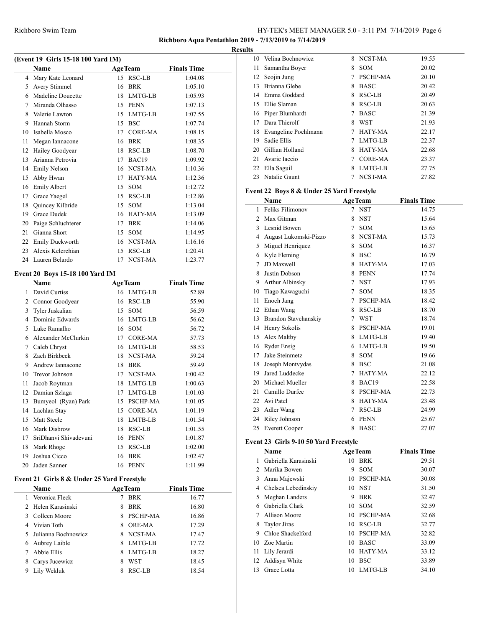## **Richboro Aqua Pentathlon 2019 - 7/13/2019 to 7/14/2019**

## **Results**

| (Event 19 Girls 15-18 100 Yard IM) |                                        |                |                         |                    |  |  |  |
|------------------------------------|----------------------------------------|----------------|-------------------------|--------------------|--|--|--|
|                                    | <b>Name</b>                            |                | <b>AgeTeam</b>          | <b>Finals Time</b> |  |  |  |
|                                    | 4 Mary Kate Leonard                    |                | 15 RSC-LB               | 1:04.08            |  |  |  |
|                                    | 5 Avery Stimmel                        |                | 16 BRK                  | 1:05.10            |  |  |  |
|                                    | 6 Madeline Doucette                    |                | 18 LMTG-LB              | 1:05.93            |  |  |  |
| $\tau$                             | Miranda Olhasso                        |                | 15 PENN                 | 1:07.13            |  |  |  |
| 8                                  | Valerie Lawton                         |                | 15 LMTG-LB              | 1:07.55            |  |  |  |
| 9                                  | Hannah Storm                           |                | 15 BSC                  | 1:07.74            |  |  |  |
| 10                                 | Isabella Mosco                         |                | 17 CORE-MA              | 1:08.15            |  |  |  |
| 11                                 | Megan Iannacone                        |                | 16 BRK                  | 1:08.35            |  |  |  |
| 12                                 | Hailey Goodyear                        |                | 18 RSC-LB               | 1:08.70            |  |  |  |
| 13                                 | Arianna Petrovia                       |                | 17 BAC19                | 1:09.92            |  |  |  |
| 14                                 | <b>Emily Nelson</b>                    |                | 16 NCST-MA              | 1:10.36            |  |  |  |
| 15                                 | Abby Hwan                              |                | 17 HATY-MA              | 1:12.36            |  |  |  |
| 16                                 | <b>Emily Albert</b>                    |                | 15 SOM                  | 1:12.72            |  |  |  |
| 17                                 | Grace Yaegel                           |                | 15 RSC-LB               | 1:12.86            |  |  |  |
| 18                                 | Quincey Kilbride                       |                | 15 SOM                  | 1:13.04            |  |  |  |
| 19                                 | Grace Dudek                            |                | 16 HATY-MA              | 1:13.09            |  |  |  |
| 20                                 | Paige Schluchterer                     |                | 17 BRK                  | 1:14.06            |  |  |  |
| 21                                 | Gianna Short                           |                | 15 SOM                  | 1:14.95            |  |  |  |
|                                    | 22 Emily Duckworth                     |                | 16 NCST-MA              | 1:16.16            |  |  |  |
| 23                                 | Alexis Kelerchian                      |                | 15 RSC-LB               | 1:20.41            |  |  |  |
| 24                                 | Lauren Belardo                         |                | 17 NCST-MA              | 1:23.77            |  |  |  |
|                                    | <b>Event 20 Boys 15-18 100 Yard IM</b> |                |                         |                    |  |  |  |
|                                    |                                        |                |                         |                    |  |  |  |
|                                    |                                        |                |                         |                    |  |  |  |
|                                    | Name                                   | <b>AgeTeam</b> |                         | <b>Finals Time</b> |  |  |  |
| 1                                  | David Curtiss                          |                | 16 LMTG-LB              | 52.89              |  |  |  |
|                                    | 2 Connor Goodyear                      |                | 16 RSC-LB               | 55.90              |  |  |  |
| 3                                  | Tyler Juskalian                        |                | 15 SOM                  | 56.59              |  |  |  |
|                                    | 4 Dominic Edwards                      |                | 16 LMTG-LB              | 56.62              |  |  |  |
| 5                                  | Luke Ramalho                           |                | 16 SOM                  | 56.72              |  |  |  |
|                                    | 6 Alexander McClurkin                  |                | 17 CORE-MA              | 57.73              |  |  |  |
|                                    | 7 Caleb Chryst                         |                | 16 LMTG-LB              | 58.53              |  |  |  |
| 8                                  | Zach Birkbeck                          |                | 18 NCST-MA              | 59.24              |  |  |  |
| 9.                                 | Andrew Iannacone                       |                | 18 BRK                  | 59.49              |  |  |  |
| 10                                 | <b>Trevor Johnson</b>                  |                | 17 NCST-MA              | 1:00.42            |  |  |  |
| 11                                 | Jacob Roytman                          |                | 18 LMTG-LB              | 1:00.63            |  |  |  |
| 12                                 | Damian Szlaga                          |                | 17 LMTG-LB              | 1:01.03            |  |  |  |
| 13                                 | Bumyeol (Ryan) Park                    |                | 15 PSCHP-MA             | 1:01.05            |  |  |  |
| 14                                 | Lachlan Stay                           |                | 15 CORE-MA              | 1:01.19            |  |  |  |
| 15                                 | Matt Steele                            |                | 18 LMTB-LB              | 1:01.54            |  |  |  |
| 16                                 | Mark Disbrow                           |                | 18 RSC-LB               | 1:01.55            |  |  |  |
| 17<br>18                           | SriDhanvi Shivadevuni                  |                | 16 PENN                 | 1:01.87            |  |  |  |
| 19                                 | Mark Rhoge<br>Joshua Cicco             | 16             | 15 RSC-LB<br><b>BRK</b> | 1:02.00<br>1:02.47 |  |  |  |

# **Event 21 Girls 8 & Under 25 Yard Freestyle**

 $\overline{a}$ 

|   | <b>Name</b>         | <b>AgeTeam</b> |               | <b>Finals Time</b> |
|---|---------------------|----------------|---------------|--------------------|
|   | Veronica Fleck      | 7              | <b>BRK</b>    | 16.77              |
|   | 2 Helen Karasinski  | 8              | <b>BRK</b>    | 16.80              |
| 3 | Colleen Moore       | 8              | PSCHP-MA      | 16.86              |
|   | Vivian Toth         | 8              | <b>ORE-MA</b> | 17.29              |
|   | Julianna Bochnowicz | 8              | NCST-MA       | 17.47              |
| 6 | Aubrey Laible       | 8              | LMTG-LB       | 17.72              |
|   | Abbie Ellis         | 8              | LMTG-LB       | 18.27              |
|   | Carys Jucewicz      | 8              | <b>WST</b>    | 18.45              |
| 9 | Lily Wekluk         | 8              | RSC-LB        | 18.54              |

|     | 10 Velina Bochnowicz | 8 | NCST-MA         | 19.55 |
|-----|----------------------|---|-----------------|-------|
| 11. | Samantha Boyer       | 8 | <b>SOM</b>      | 20.02 |
| 12  | Seojin Jung          | 7 | <b>PSCHP-MA</b> | 20.10 |
| 13  | Brianna Glebe        | 8 | <b>BASC</b>     | 20.42 |
|     | 14 Emma Goddard      | 8 | <b>RSC-LB</b>   | 20.49 |
| 15  | Ellie Slaman         | 8 | <b>RSC-LB</b>   | 20.63 |
|     | 16 Piper Blumhardt   | 7 | <b>BASC</b>     | 21.39 |
| 17  | Dara Thierolf        | 8 | WST             | 21.93 |
| 18  | Evangeline Poehlmann | 7 | <b>HATY-MA</b>  | 22.17 |
| 19. | Sadie Ellis          | 7 | LMTG-LB         | 22.37 |
| 20  | Gillian Holland      | 8 | HATY-MA         | 22.68 |
| 21  | Avarie Iaccio        | 7 | <b>CORE-MA</b>  | 23.37 |
| 22  | Ella Saguil          | 8 | LMTG-LB         | 27.75 |
| 23  | Natalie Gaunt        |   | NCST-MA         | 27.82 |

# **Event 22 Boys 8 & Under 25 Yard Freestyle**

|                | Name                  |   | <b>AgeTeam</b>  | <b>Finals Time</b> |
|----------------|-----------------------|---|-----------------|--------------------|
| 1              | Feliks Filimonov      | 7 | <b>NST</b>      | 14.75              |
| $\mathfrak{D}$ | Max Gitman            | 8 | <b>NST</b>      | 15.64              |
| 3              | Lesnid Bowen          | 7 | <b>SOM</b>      | 15.65              |
| 4              | August Lukomski-Pizzo | 8 | NCST-MA         | 15.73              |
| 5              | Miguel Henriquez      | 8 | <b>SOM</b>      | 16.37              |
| 6              | Kyle Fleming          | 8 | <b>BSC</b>      | 16.79              |
| 7              | JD Maxwell            | 8 | HATY-MA         | 17.03              |
| 8              | Justin Dobson         | 8 | <b>PENN</b>     | 17.74              |
| 9              | Arthur Albinsky       | 7 | <b>NST</b>      | 17.93              |
| 10             | Tiago Kawaguchi       | 7 | <b>SOM</b>      | 18.35              |
| 11             | Enoch Jang            | 7 | PSCHP-MA        | 18.42              |
| 12             | Ethan Wang            | 8 | RSC-LB          | 18.70              |
| 13             | Brandon Stavchanskiy  | 7 | <b>WST</b>      | 18.74              |
| 14             | Henry Sokolis         | 8 | <b>PSCHP-MA</b> | 19.01              |
| 15             | Alex Maltby           | 8 | LMTG-LB         | 19.40              |
| 16             | <b>Ryder Ensig</b>    | 6 | LMTG-LB         | 19.50              |
| 17             | Jake Steinmetz        | 8 | <b>SOM</b>      | 19.66              |
| 18             | Joseph Montvydas      | 8 | <b>BSC</b>      | 21.08              |
| 19             | Jared Luddecke        | 7 | HATY-MA         | 22.12              |
| 20             | Michael Mueller       | 8 | BAC19           | 22.58              |
| 21             | Camillo Durfee        | 8 | <b>PSCHP-MA</b> | 22.73              |
| 22             | Avi Patel             | 8 | <b>HATY-MA</b>  | 23.48              |
| 23             | Adler Wang            | 7 | <b>RSC-LB</b>   | 24.99              |
| 24             | Riley Johnson         | 6 | <b>PENN</b>     | 25.67              |
| 25             | <b>Everett Cooper</b> | 8 | <b>BASC</b>     | 27.07              |
|                |                       |   |                 |                    |

## **Event 23 Girls 9-10 50 Yard Freestyle**

|     | Name                 |     | <b>AgeTeam</b>  | <b>Finals Time</b> |
|-----|----------------------|-----|-----------------|--------------------|
|     | Gabriella Karasinski |     | 10 BRK          | 29.51              |
| 2   | Marika Bowen         | 9   | <b>SOM</b>      | 30.07              |
|     | Anna Majewski        | 10  | <b>PSCHP-MA</b> | 30.08              |
| 4   | Chelsea Lebedinskiy  |     | 10 NST          | 31.50              |
| 5.  | Meghan Landers       | 9   | <b>BRK</b>      | 32.47              |
| 6   | Gabriella Clark      | 10. | <b>SOM</b>      | 32.59              |
|     | Allison Moore        | 10  | <b>PSCHP-MA</b> | 32.68              |
| 8   | <b>Taylor Jiras</b>  | 10. | RSC-LB          | 32.77              |
| 9   | Chloe Shackelford    | 10  | <b>PSCHP-MA</b> | 32.82              |
| 10. | Zoe Martin           | 10  | <b>BASC</b>     | 33.09              |
| 11  | Lily Jerardi         | 10. | HATY-MA         | 33.12              |
| 12. | Addisyn White        | 10  | <b>BSC</b>      | 33.89              |
| 13  | Grace Lotta          | 10. | LMTG-LB         | 34.10              |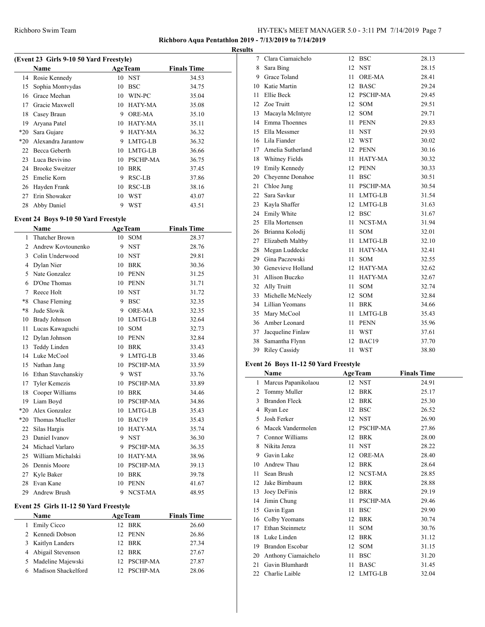## **Richboro Aqua Pentathlon 2019 - 7/13/2019 to 7/14/2019**

**Results**

| (Event 23 Girls 9-10 50 Yard Freestyle) |                        |    |                 |                    |  |  |
|-----------------------------------------|------------------------|----|-----------------|--------------------|--|--|
|                                         | Name                   |    | <b>AgeTeam</b>  | <b>Finals Time</b> |  |  |
| 14                                      | Rosie Kennedy          |    | 10 NST          | 34.53              |  |  |
| 15                                      | Sophia Montvydas       | 10 | <b>BSC</b>      | 34.75              |  |  |
| 16                                      | Grace Meehan           | 10 | WIN-PC          | 35.04              |  |  |
| 17                                      | Gracie Maxwell         | 10 | HATY-MA         | 35.08              |  |  |
| 18                                      | Casey Braun            | 9  | <b>ORE-MA</b>   | 35.10              |  |  |
| 19                                      | Aryana Patel           | 10 | HATY-MA         | 35.11              |  |  |
| $*20$                                   | Sara Gujare            | 9  | <b>HATY-MA</b>  | 36.32              |  |  |
| $*20$                                   | Alexandra Jarantow     | 9  | LMTG-LB         | 36.32              |  |  |
| 22                                      | Becca Geberth          | 10 | LMTG-LB         | 36.66              |  |  |
| 23                                      | Luca Bevivino          | 10 | <b>PSCHP-MA</b> | 36.75              |  |  |
| 24                                      | <b>Brooke Sweitzer</b> | 10 | <b>BRK</b>      | 37.45              |  |  |
| 25                                      | Emelie Korn            | 9  | RSC-LB          | 37.86              |  |  |
| 26                                      | Hayden Frank           | 10 | <b>RSC-LB</b>   | 38.16              |  |  |
| 27                                      | Erin Showaker          | 10 | WST             | 43.07              |  |  |
| 28                                      | Abby Daniel            | 9  | WST             | 43.51              |  |  |

## **Event 24 Boys 9-10 50 Yard Freestyle**

|                | Name                  |    | <b>AgeTeam</b>  | <b>Finals Time</b> |
|----------------|-----------------------|----|-----------------|--------------------|
| 1              | <b>Thatcher Brown</b> | 10 | <b>SOM</b>      | 28.37              |
| $\overline{c}$ | Andrew Kovtounenko    | 9  | <b>NST</b>      | 28.76              |
| 3              | Colin Underwood       | 10 | <b>NST</b>      | 29.81              |
| 4              | Dylan Nier            | 10 | <b>BRK</b>      | 30.36              |
| 5              | Nate Gonzalez         | 10 | <b>PENN</b>     | 31.25              |
| 6              | D'One Thomas          | 10 | <b>PENN</b>     | 31.71              |
| 7              | Reece Holt            | 10 | <b>NST</b>      | 31.72              |
| $*8$           | Chase Fleming         | 9  | <b>BSC</b>      | 32.35              |
| $*8$           | Jude Slowik           | 9  | <b>ORE-MA</b>   | 32.35              |
| 10             | Brady Johnson         | 10 | LMTG-LB         | 32.64              |
| 11             | Lucas Kawaguchi       | 10 | <b>SOM</b>      | 32.73              |
| 12             | Dylan Johnson         | 10 | PENN            | 32.84              |
| 13             | Teddy Linden          | 10 | <b>BRK</b>      | 33.43              |
| 14             | Luke McCool           | 9  | LMTG-LB         | 33.46              |
| 15             | Nathan Jang           | 10 | <b>PSCHP-MA</b> | 33.59              |
| 16             | Ethan Stavchanskiy    | 9  | WST             | 33.76              |
| 17             | <b>Tyler Kemezis</b>  | 10 | <b>PSCHP-MA</b> | 33.89              |
| 18             | Cooper Williams       | 10 | <b>BRK</b>      | 34.46              |
| 19             | Liam Boyd             | 10 | <b>PSCHP-MA</b> | 34.86              |
| $*20$          | Alex Gonzalez         | 10 | LMTG-LB         | 35.43              |
| $*20$          | Thomas Mueller        | 10 | BAC19           | 35.43              |
| 22             | Silas Hargis          | 10 | HATY-MA         | 35.74              |
| 23             | Daniel Ivanov         | 9  | <b>NST</b>      | 36.30              |
| 24             | Michael Varlaro       | 9  | <b>PSCHP-MA</b> | 36.35              |
| 25             | William Michalski     | 10 | <b>HATY-MA</b>  | 38.96              |
| 26             | Dennis Moore          | 10 | <b>PSCHP-MA</b> | 39.13              |
| 27             | Kyle Baker            | 10 | <b>BRK</b>      | 39.78              |
| 28             | Evan Kane             | 10 | <b>PENN</b>     | 41.67              |
| 29             | Andrew Brush          | 9  | NCST-MA         | 48.95              |
|                |                       |    |                 |                    |

## **Event 25 Girls 11-12 50 Yard Freestyle**

|   | <b>Name</b>           | <b>AgeTeam</b>  | <b>Finals Time</b> |
|---|-----------------------|-----------------|--------------------|
| 1 | <b>Emily Cicco</b>    | 12 BRK          | 26.60              |
|   | 2 Kennedi Dobson      | 12 PENN         | 26.86              |
|   | 3 Kaitlyn Landers     | 12 BRK          | 27.34              |
|   | 4 Abigail Stevenson   | 12 BRK          | 27.67              |
|   | 5 Madeline Majewski   | 12 PSCHP-MA     | 27.87              |
|   | 6 Madison Shackelford | <b>PSCHP-MA</b> | 28.06              |

| 7  | Clara Ciamaichelo    | 12                                                                                                                                                  | <b>BSC</b>      | 28.13                                                                                                                                     |
|----|----------------------|-----------------------------------------------------------------------------------------------------------------------------------------------------|-----------------|-------------------------------------------------------------------------------------------------------------------------------------------|
|    | Sara Bing            | 12                                                                                                                                                  |                 | 28.15                                                                                                                                     |
| 9. | Grace Toland         | 11                                                                                                                                                  | ORE-MA          | 28.41                                                                                                                                     |
|    | Katie Martin         | 12                                                                                                                                                  | <b>BASC</b>     | 29.24                                                                                                                                     |
| 11 | Ellie Beck           |                                                                                                                                                     |                 | 29.45                                                                                                                                     |
| 12 | Zoe Truitt           | 12                                                                                                                                                  | <b>SOM</b>      | 29.51                                                                                                                                     |
| 13 | Macayla McIntyre     |                                                                                                                                                     | SOM             | 29.71                                                                                                                                     |
|    |                      | 11                                                                                                                                                  | <b>PENN</b>     | 29.83                                                                                                                                     |
| 15 | Ella Messmer         | 11                                                                                                                                                  | <b>NST</b>      | 29.93                                                                                                                                     |
|    |                      |                                                                                                                                                     |                 | 30.02                                                                                                                                     |
|    | Amelia Sutherland    | 12                                                                                                                                                  |                 | 30.16                                                                                                                                     |
|    |                      | 11                                                                                                                                                  |                 | 30.32                                                                                                                                     |
| 19 | <b>Emily Kennedy</b> | 12                                                                                                                                                  |                 | 30.33                                                                                                                                     |
| 20 | Cheyenne Donahoe     | 11                                                                                                                                                  | <b>BSC</b>      | 30.51                                                                                                                                     |
| 21 | Chloe Jung           | 11                                                                                                                                                  | <b>PSCHP-MA</b> | 30.54                                                                                                                                     |
| 22 | Sara Savkur          | 11                                                                                                                                                  |                 | 31.54                                                                                                                                     |
| 23 | Kayla Shaffer        |                                                                                                                                                     |                 | 31.63                                                                                                                                     |
| 24 | Emily White          |                                                                                                                                                     |                 | 31.67                                                                                                                                     |
| 25 |                      | 11                                                                                                                                                  | NCST-MA         | 31.94                                                                                                                                     |
|    | Brianna Kolodij      | 11                                                                                                                                                  | SOM             | 32.01                                                                                                                                     |
| 27 | Elizabeth Maltby     | 11                                                                                                                                                  | LMTG-LB         | 32.10                                                                                                                                     |
| 28 | Megan Luddecke       | 11                                                                                                                                                  | HATY-MA         | 32.41                                                                                                                                     |
|    | Gina Paczewski       | 11                                                                                                                                                  | <b>SOM</b>      | 32.55                                                                                                                                     |
|    | Genevieve Holland    |                                                                                                                                                     | HATY-MA         | 32.62                                                                                                                                     |
| 31 | Allison Buczko       | 11                                                                                                                                                  | HATY-MA         | 32.67                                                                                                                                     |
|    |                      | 11                                                                                                                                                  | SOM             | 32.74                                                                                                                                     |
| 33 | Michelle McNeely     |                                                                                                                                                     | SOM             | 32.84                                                                                                                                     |
| 34 | Lillian Yeomans      | 11                                                                                                                                                  | <b>BRK</b>      | 34.66                                                                                                                                     |
| 35 | Mary McCool          | 11                                                                                                                                                  | LMTG-LB         | 35.43                                                                                                                                     |
|    |                      | 11                                                                                                                                                  |                 | 35.96                                                                                                                                     |
| 37 | Jacqueline Finlaw    | 11                                                                                                                                                  | <b>WST</b>      | 37.61                                                                                                                                     |
| 38 | Samantha Flynn       | 12                                                                                                                                                  | BAC19           | 37.70                                                                                                                                     |
| 39 | <b>Riley Cassidy</b> | 11                                                                                                                                                  | <b>WST</b>      | 38.80                                                                                                                                     |
|    |                      | 8<br>10<br>14 Emma Thoennes<br>16 Lila Fiander<br>17<br>18 Whitney Fields<br>Ella Mortensen<br>26<br>29<br>30<br>32 Ally Truitt<br>36 Amber Leonard |                 | <b>NST</b><br>12 PSCHP-MA<br>12<br>12 WST<br>PENN<br><b>HATY-MA</b><br>PENN<br>LMTG-LB<br>12 LMTG-LB<br>12 BSC<br>12<br>12<br><b>PENN</b> |

## **Event 26 Boys 11-12 50 Yard Freestyle**

|    | Name                   | <b>AgeTeam</b> |               | <b>Finals Time</b> |
|----|------------------------|----------------|---------------|--------------------|
| 1  | Marcus Papanikolaou    | 12             | <b>NST</b>    | 24.91              |
| 2  | Tommy Muller           | 12             | <b>BRK</b>    | 25.17              |
| 3  | <b>Brandon Fleck</b>   | 12             | <b>BRK</b>    | 25.30              |
| 4  | Ryan Lee               | 12             | <b>BSC</b>    | 26.52              |
| 5  | Josh Ferker            | 12             | <b>NST</b>    | 26.90              |
| 6  | Macek Vandermolen      | 12             | PSCHP-MA      | 27.86              |
| 7  | Connor Williams        | 12             | <b>BRK</b>    | 28.00              |
| 8  | Nikita Jenza           | 11             | <b>NST</b>    | 28.22              |
| 9  | Gavin Lake             | 12             | <b>ORE-MA</b> | 28.40              |
| 10 | Andrew Thau            | 12             | <b>BRK</b>    | 28.64              |
| 11 | Sean Brush             | 12             | NCST-MA       | 28.85              |
| 12 | Jake Birnbaum          | 12             | <b>BRK</b>    | 28.88              |
| 13 | Joey DeFinis           | 12             | <b>BRK</b>    | 29.19              |
| 14 | Jimin Chung            | 11             | PSCHP-MA      | 29.46              |
| 15 | Gavin Egan             | 11             | <b>BSC</b>    | 29.90              |
| 16 | Colby Yeomans          | 12             | <b>BRK</b>    | 30.74              |
| 17 | Ethan Steinmetz        | 11             | <b>SOM</b>    | 30.76              |
| 18 | Luke Linden            | 12             | <b>BRK</b>    | 31.12              |
| 19 | <b>Brandon Escobar</b> | 12             | <b>SOM</b>    | 31.15              |
| 20 | Anthony Ciamaichelo    | 11             | <b>BSC</b>    | 31.20              |
| 21 | Gavin Blumhardt        | 11             | <b>BASC</b>   | 31.45              |
| 22 | Charlie Laible         | 12             | LMTG-LB       | 32.04              |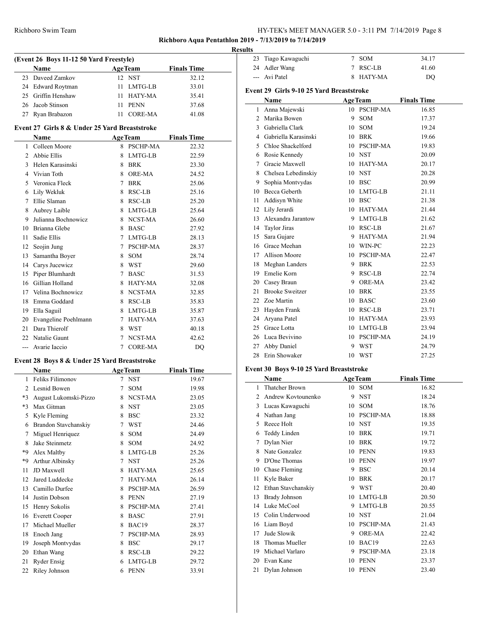## **Richboro Aqua Pentathlon 2019 - 7/13/2019 to 7/14/2019**

#### **Results**

|               | (Event 26 Boys 11-12 50 Yard Freestyle)       |         |                 |                    |  |  |  |
|---------------|-----------------------------------------------|---------|-----------------|--------------------|--|--|--|
|               | <b>Name</b>                                   |         | <b>AgeTeam</b>  | <b>Finals Time</b> |  |  |  |
|               | 23 Daveed Zamkov                              |         | 12 NST          | 32.12              |  |  |  |
|               | 24 Edward Roytman                             |         | 11 LMTG-LB      | 33.01              |  |  |  |
|               | 25 Griffin Henshaw                            | 11      | HATY-MA         | 35.41              |  |  |  |
|               | 26 Jacob Stinson                              | 11      | <b>PENN</b>     | 37.68              |  |  |  |
| 27            | Ryan Brabazon                                 | 11      | <b>CORE-MA</b>  | 41.08              |  |  |  |
|               | Event 27 Girls 8 & Under 25 Yard Breaststroke |         |                 |                    |  |  |  |
|               | <b>Name</b>                                   |         | <b>AgeTeam</b>  | <b>Finals Time</b> |  |  |  |
|               | Colleen Moore                                 | 8       | <b>PSCHP-MA</b> | 22.32              |  |  |  |
| $\mathcal{D}$ | Abbie Ellis                                   | 8       | LMTG-LB         | 22.59              |  |  |  |
| 3             | Helen Karasinski                              | 8       | <b>BRK</b>      | 23.30              |  |  |  |
|               | $\Lambda$ Vivion Toth                         | $\circ$ | ODE MA          | 24.52              |  |  |  |

| $\mathbf{3}$ | Helen Karasinski     | 8 | <b>BRK</b>      | 23.30 |
|--------------|----------------------|---|-----------------|-------|
| 4            | Vivian Toth          | 8 | ORE-MA          | 24.52 |
| 5            | Veronica Fleck       | 7 | <b>BRK</b>      | 25.06 |
| 6            | Lily Wekluk          | 8 | RSC-LB          | 25.16 |
| 7            | Ellie Slaman         | 8 | RSC-LB          | 25.20 |
| 8            | Aubrey Laible        | 8 | LMTG-LB         | 25.64 |
| 9            | Julianna Bochnowicz  | 8 | NCST-MA         | 26.60 |
| 10           | Brianna Glebe        | 8 | <b>BASC</b>     | 27.92 |
| 11           | Sadie Ellis          | 7 | LMTG-LB         | 28.13 |
| 12           | Seojin Jung          | 7 | <b>PSCHP-MA</b> | 28.37 |
| 13           | Samantha Boyer       | 8 | <b>SOM</b>      | 28.74 |
| 14           | Carys Jucewicz       | 8 | <b>WST</b>      | 29.60 |
| 15           | Piper Blumhardt      | 7 | <b>BASC</b>     | 31.53 |
| 16           | Gillian Holland      | 8 | HATY-MA         | 32.08 |
| 17           | Velina Bochnowicz    | 8 | NCST-MA         | 32.85 |
| 18           | Emma Goddard         | 8 | RSC-LB          | 35.83 |
| 19           | Ella Saguil          | 8 | LMTG-LB         | 35.87 |
| 20           | Evangeline Poehlmann | 7 | <b>HATY-MA</b>  | 37.63 |
| 21           | Dara Thierolf        | 8 | <b>WST</b>      | 40.18 |
| 22           | Natalie Gaunt        | 7 | NCST-MA         | 42.62 |
| ---          | Avarie Iaccio        | 7 | <b>CORE-MA</b>  | DO    |

## **Event 28 Boys 8 & Under 25 Yard Breaststroke**

 $\overline{a}$ 

|              | Name                   |   | <b>AgeTeam</b>  | <b>Finals Time</b> |
|--------------|------------------------|---|-----------------|--------------------|
| $\mathbf{1}$ | Feliks Filimonov       | 7 | <b>NST</b>      | 19.67              |
| 2            | Lesnid Bowen           | 7 | <b>SOM</b>      | 19.98              |
| $*3$         | August Lukomski-Pizzo  | 8 | NCST-MA         | 23.05              |
| $*3$         | Max Gitman             | 8 | <b>NST</b>      | 23.05              |
| 5            | Kyle Fleming           | 8 | <b>BSC</b>      | 23.32              |
| 6            | Brandon Stavchanskiy   | 7 | <b>WST</b>      | 24.46              |
| 7            | Miguel Henriquez       | 8 | <b>SOM</b>      | 24.49              |
| 8            | Jake Steinmetz         | 8 | <b>SOM</b>      | 24.92              |
| *9           | Alex Maltby            | 8 | LMTG-LB         | 25.26              |
| *9           | <b>Arthur Albinsky</b> | 7 | <b>NST</b>      | 25.26              |
| 11           | JD Maxwell             | 8 | HATY-MA         | 25.65              |
| 12           | Jared Luddecke         | 7 | HATY-MA         | 26.14              |
| 13           | Camillo Durfee         | 8 | <b>PSCHP-MA</b> | 26.59              |
| 14           | Justin Dobson          | 8 | <b>PENN</b>     | 27.19              |
| 15           | Henry Sokolis          | 8 | <b>PSCHP-MA</b> | 27.41              |
| 16           | <b>Everett Cooper</b>  | 8 | <b>BASC</b>     | 27.91              |
| 17           | Michael Mueller        | 8 | BAC19           | 28.37              |
| 18           | Enoch Jang             | 7 | <b>PSCHP-MA</b> | 28.93              |
| 19           | Joseph Montvydas       | 8 | <b>BSC</b>      | 29.17              |
| 20           | Ethan Wang             | 8 | RSC-LB          | 29.22              |
| 21           | <b>Ryder Ensig</b>     | 6 | LMTG-LB         | 29.72              |
| 22           | Riley Johnson          | 6 | <b>PENN</b>     | 33.91              |

| 23    | Tiago Kawaguchi                          | 7  | SOM            | 34.17              |  |
|-------|------------------------------------------|----|----------------|--------------------|--|
| 24    | Adler Wang                               | 7  | <b>RSC-LB</b>  | 41.60              |  |
| $---$ | Avi Patel                                | 8  | <b>HATY-MA</b> | D <sub>O</sub>     |  |
|       | Event 29 Girls 9-10 25 Yard Breaststroke |    |                |                    |  |
|       | Name                                     |    | <b>AgeTeam</b> | <b>Finals Time</b> |  |
| 1     | Anna Majewski                            |    | 10 PSCHP-MA    | 16.85              |  |
| 2     | Marika Bowen                             | 9  | <b>SOM</b>     | 17.37              |  |
| 3     | Gabriella Clark                          | 10 | SOM            | 19.24              |  |
|       | 4 Gabriella Karasinski                   | 10 | BRK            | 19.66              |  |
|       | 5 Chloe Shackelford                      |    | 10 PSCHP-MA    | 19.83              |  |
| 6     | Rosie Kennedy                            |    | 10 NST         | 20.09              |  |
| 7     | Gracie Maxwell                           | 10 | HATY-MA        | 20.17              |  |
| 8     | Chelsea Lebedinskiy                      |    | 10 NST         | 20.28              |  |
| 9     | Sophia Montvydas                         |    | 10 BSC         | 20.99              |  |
| 10    | Becca Geberth                            | 10 | LMTG-LB        | 21.11              |  |
| 11    | Addisyn White                            | 10 | <b>BSC</b>     | 21.38              |  |
| 12    | Lily Jerardi                             | 10 | HATY-MA        | 21.44              |  |
| 13    | Alexandra Jarantow                       | 9  | LMTG-LB        | 21.62              |  |
|       | 14 Taylor Jiras                          |    | 10 RSC-LB      | 21.67              |  |
| 15    | Sara Gujare                              | 9  | HATY-MA        | 21.94              |  |
| 16    | Grace Meehan                             |    | 10 WIN-PC      | 22.23              |  |
| 17    | Allison Moore                            |    | 10 PSCHP-MA    | 22.47              |  |
| 18    | Meghan Landers                           | 9  | <b>BRK</b>     | 22.53              |  |
| 19    | Emelie Korn                              | 9  | RSC-LB         | 22.74              |  |
| 20    | Casey Braun                              | 9  | ORE-MA         | 23.42              |  |
| 21    | <b>Brooke Sweitzer</b>                   | 10 | <b>BRK</b>     | 23.55              |  |
| 22    | Zoe Martin                               | 10 | <b>BASC</b>    | 23.60              |  |
| 23    | Hayden Frank                             | 10 | RSC-LB         | 23.71              |  |
| 24    | Aryana Patel                             | 10 | HATY-MA        | 23.93              |  |
| 25    | Grace Lotta                              |    | 10 LMTG-LB     | 23.94              |  |
| 26    | Luca Bevivino                            |    | 10 PSCHP-MA    | 24.19              |  |
| 27    | Abby Daniel                              | 9  | WST            | 24.79              |  |
| 28    | Erin Showaker                            | 10 | <b>WST</b>     | 27.25              |  |

## **Event 30 Boys 9-10 25 Yard Breaststroke**

 $\overline{a}$ 

|    | Name               |    | <b>AgeTeam</b> | <b>Finals Time</b> |
|----|--------------------|----|----------------|--------------------|
| 1  | Thatcher Brown     |    | 10 SOM         | 16.82              |
| 2  | Andrew Kovtounenko | 9  | <b>NST</b>     | 18.24              |
| 3  | Lucas Kawaguchi    | 10 | <b>SOM</b>     | 18.76              |
| 4  | Nathan Jang        | 10 | PSCHP-MA       | 18.88              |
| 5  | Reece Holt         | 10 | <b>NST</b>     | 19.35              |
| 6  | Teddy Linden       | 10 | <b>BRK</b>     | 19.71              |
| 7  | Dylan Nier         | 10 | <b>BRK</b>     | 19.72              |
| 8  | Nate Gonzalez      | 10 | <b>PENN</b>    | 19.83              |
| 9  | D'One Thomas       | 10 | <b>PENN</b>    | 19.97              |
| 10 | Chase Fleming      | 9  | <b>BSC</b>     | 20.14              |
| 11 | Kyle Baker         | 10 | <b>BRK</b>     | 20.17              |
| 12 | Ethan Stavchanskiy | 9  | <b>WST</b>     | 20.40              |
| 13 | Brady Johnson      | 10 | LMTG-LB        | 20.50              |
| 14 | Luke McCool        | 9  | LMTG-LB        | 20.55              |
| 15 | Colin Underwood    | 10 | <b>NST</b>     | 21.04              |
| 16 | Liam Boyd          | 10 | PSCHP-MA       | 21.43              |
| 17 | Jude Slowik        | 9  | <b>ORE-MA</b>  | 22.42              |
| 18 | Thomas Mueller     | 10 | BAC19          | 22.63              |
| 19 | Michael Varlaro    | 9  | PSCHP-MA       | 23.18              |
| 20 | Evan Kane          | 10 | <b>PENN</b>    | 23.37              |
| 21 | Dylan Johnson      | 10 | <b>PENN</b>    | 23.40              |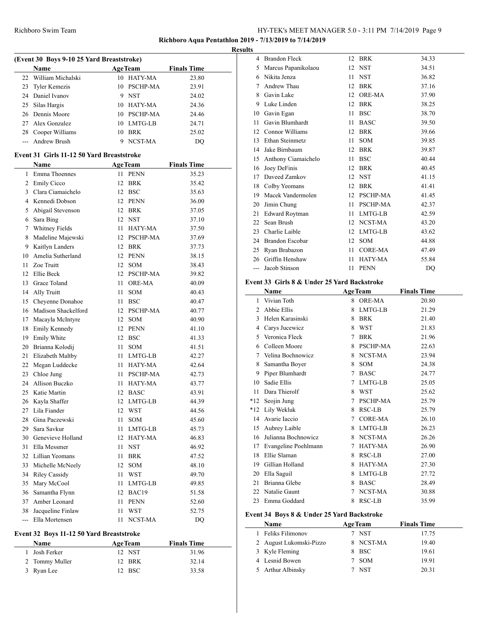## **Richboro Aqua Pentathlon 2019 - 7/13/2019 to 7/14/2019**

| (Event 30 Boys 9-10 25 Yard Breaststroke) |                                           |      |                |                    |  |
|-------------------------------------------|-------------------------------------------|------|----------------|--------------------|--|
|                                           | Name                                      |      | <b>AgeTeam</b> | <b>Finals Time</b> |  |
| 22                                        | William Michalski                         |      | 10 HATY-MA     | 23.80              |  |
| 23                                        | <b>Tyler Kemezis</b>                      |      | 10 PSCHP-MA    | 23.91              |  |
|                                           | 24 Daniel Ivanov                          |      | 9 NST          | 24.02              |  |
| 25                                        | Silas Hargis                              |      | 10 HATY-MA     | 24.36              |  |
| 26                                        | Dennis Moore                              |      | 10 PSCHP-MA    | 24.46              |  |
| 27                                        | Alex Gonzalez                             |      | 10 LMTG-LB     | 24.71              |  |
|                                           | 28 Cooper Williams                        |      | 10 BRK         | 25.02              |  |
| $\frac{1}{2}$                             | Andrew Brush                              | 9    | NCST-MA        | DQ                 |  |
|                                           | Event 31 Girls 11-12 50 Yard Breaststroke |      |                |                    |  |
|                                           | Name                                      |      | <b>AgeTeam</b> | <b>Finals Time</b> |  |
| 1                                         | Emma Thoennes                             | 11.  | <b>PENN</b>    | 35.23              |  |
|                                           | 2 Emily Cicco                             | 12   | <b>BRK</b>     | 35.42              |  |
|                                           | 3 Clara Ciamaichelo                       |      | 12 BSC         |                    |  |
|                                           | 4 Kennedi Dobson                          |      |                | 35.63              |  |
|                                           |                                           |      | 12 PENN        | 36.00              |  |
| 5                                         | Abigail Stevenson                         |      | 12 BRK         | 37.05              |  |
| 6                                         | Sara Bing                                 |      | 12 NST         | 37.10              |  |
|                                           | 7 Whitney Fields                          | 11   | HATY-MA        | 37.50              |  |
| 8                                         | Madeline Majewski                         |      | 12 PSCHP-MA    | 37.69              |  |
| 9                                         | Kaitlyn Landers                           |      | 12 BRK         | 37.73              |  |
| 10                                        | Amelia Sutherland                         |      | 12 PENN        | 38.15              |  |
| 11                                        | Zoe Truitt                                |      | 12 SOM         | 38.43              |  |
| 12                                        | Ellie Beck                                |      | 12 PSCHP-MA    | 39.82              |  |
|                                           | 13 Grace Toland                           | 11 - | <b>ORE-MA</b>  | 40.09              |  |
| 14                                        | Ally Truitt                               | 11   | <b>SOM</b>     | 40.43              |  |
|                                           | 15 Cheyenne Donahoe                       | 11   | <b>BSC</b>     | 40.47              |  |
| 16                                        | Madison Shackelford                       |      | 12 PSCHP-MA    | 40.77              |  |
| 17                                        | Macayla McIntyre                          | 12   | <b>SOM</b>     | 40.90              |  |
| 18                                        | Emily Kennedy                             |      | 12 PENN        | 41.10              |  |
| 19                                        | Emily White                               | 12   | BSC            | 41.33              |  |
| 20                                        | Brianna Kolodij                           | 11   | <b>SOM</b>     | 41.51              |  |
| 21                                        | Elizabeth Maltby                          | 11   | LMTG-LB        | 42.27              |  |
| 22                                        | Megan Luddecke                            | 11   | HATY-MA        | 42.64              |  |
|                                           | 23 Chloe Jung                             | 11   | PSCHP-MA       | 42.73              |  |
| 24                                        | Allison Buczko                            | 11   | <b>HATY-MA</b> | 43.77              |  |
| 25                                        | Katie Martin                              |      | 12 BASC        | 43.91              |  |
| 26                                        | Kayla Shaffer                             |      | 12 LMTG-LB     | 44.39              |  |
|                                           | 27 Lila Fiander                           |      | 12 WST         | 44.56              |  |
|                                           | 28 Gina Paczewski                         | 11   | SOM            | 45.60              |  |
| 29                                        | Sara Savkur                               | 11   | LMTG-LB        | 45.73              |  |
| 30                                        | Genevieve Holland                         | 12   | HATY-MA        | 46.83              |  |
| 31                                        | Ella Messmer                              | 11   | <b>NST</b>     | 46.92              |  |
| 32                                        | Lillian Yeomans                           | 11   | <b>BRK</b>     | 47.52              |  |
| 33                                        | Michelle McNeely                          | 12   | SOM            | 48.10              |  |
| 34                                        | <b>Riley Cassidy</b>                      | 11   | WST            | 49.70              |  |
| 35                                        | Mary McCool                               | 11   | LMTG-LB        | 49.85              |  |
| 36                                        | Samantha Flynn                            | 12   | BAC19          | 51.58              |  |
| 37                                        | Amber Leonard                             | 11   | <b>PENN</b>    | 52.60              |  |
| 38                                        | Jacqueline Finlaw                         | 11   | WST            | 52.75              |  |
| $\overline{a}$                            | Ella Mortensen                            | 11   | NCST-MA        | DQ                 |  |

## **Event 32 Boys 11-12 50 Yard Breaststroke**

| Name           | <b>AgeTeam</b> | <b>Finals Time</b> |
|----------------|----------------|--------------------|
| 1 Josh Ferker  | 12 NST         | 31.96              |
| 2 Tommy Muller | 12 BRK         | 32.14              |
| 3 Ryan Lee     | 12 BSC         | 33.58              |

| <b>Results</b> |                        |                   |                 |       |
|----------------|------------------------|-------------------|-----------------|-------|
|                | 4 Brandon Fleck        |                   | 12 BRK          | 34.33 |
| 5              | Marcus Papanikolaou    |                   | 12 NST          | 34.51 |
| 6              | Nikita Jenza           | 11                | <b>NST</b>      | 36.82 |
| 7              | Andrew Thau            | 12                | <b>BRK</b>      | 37.16 |
| 8              | Gavin Lake             | 12 <sup>2</sup>   | <b>ORE-MA</b>   | 37.90 |
| 9              | Luke Linden            |                   | 12 BRK          | 38.25 |
| 10             | Gavin Egan             | 11                | <b>BSC</b>      | 38.70 |
| 11             | Gavin Blumhardt        | 11                | <b>BASC</b>     | 39.50 |
| 12             | Connor Williams        | $12^{\circ}$      | <b>BRK</b>      | 39.66 |
| 13             | Ethan Steinmetz        | 11                | <b>SOM</b>      | 39.85 |
| 14             | Jake Birnbaum          | 12 <sup>2</sup>   | <b>BRK</b>      | 39.87 |
| 15             | Anthony Ciamaichelo    | 11                | <b>BSC</b>      | 40.44 |
| 16             | Joey DeFinis           | 12 <sup>2</sup>   | <b>BRK</b>      | 40.45 |
| 17             | Daveed Zamkov          |                   | 12 NST          | 41.15 |
| 18             | Colby Yeomans          | $12 \overline{ }$ | <b>BRK</b>      | 41.41 |
| 19             | Macek Vandermolen      | 12                | <b>PSCHP-MA</b> | 41.45 |
| 20             | Jimin Chung            | 11                | PSCHP-MA        | 42.37 |
| 21             | <b>Edward Roytman</b>  | 11                | LMTG-LB         | 42.59 |
| 22             | Sean Brush             |                   | 12 NCST-MA      | 43.20 |
| 23             | Charlie Laible         | 12                | LMTG-LB         | 43.62 |
| 24             | <b>Brandon Escobar</b> | 12                | <b>SOM</b>      | 44.88 |
| 25             | Ryan Brabazon          | 11                | CORE-MA         | 47.49 |
| 26             | Griffin Henshaw        | 11                | <b>HATY-MA</b>  | 55.84 |
| $---$          | Jacob Stinson          | 11                | <b>PENN</b>     | DO    |

#### **Event 33 Girls 8 & Under 25 Yard Backstroke**

|       | Name                 | <b>AgeTeam</b> |                 | <b>Finals Time</b> |
|-------|----------------------|----------------|-----------------|--------------------|
| 1     | Vivian Toth          | 8              | ORE-MA          | 20.80              |
| 2     | Abbie Ellis          | 8              | LMTG-LB         | 21.29              |
| 3     | Helen Karasinski     | 8              | <b>BRK</b>      | 21.40              |
| 4     | Carys Jucewicz       | 8              | <b>WST</b>      | 21.83              |
| 5     | Veronica Fleck       | 7              | <b>BRK</b>      | 21.96              |
| 6     | Colleen Moore        | 8              | <b>PSCHP-MA</b> | 22.63              |
| 7     | Velina Bochnowicz    | 8              | NCST-MA         | 23.94              |
| 8     | Samantha Boyer       | 8              | <b>SOM</b>      | 24.38              |
| 9     | Piper Blumhardt      | 7              | <b>BASC</b>     | 24.77              |
| 10    | Sadie Ellis          | 7              | LMTG-LB         | 25.05              |
| 11    | Dara Thierolf        | 8              | <b>WST</b>      | 25.62              |
| $*12$ | Seojin Jung          | 7              | <b>PSCHP-MA</b> | 25.79              |
| $*12$ | Lily Wekluk          | 8              | <b>RSC-LB</b>   | 25.79              |
| 14    | Avarie Iaccio        | 7              | CORE-MA         | 26.10              |
| 15    | Aubrey Laible        | 8              | LMTG-LB         | 26.23              |
| 16    | Julianna Bochnowicz  | 8              | NCST-MA         | 26.26              |
| 17    | Evangeline Poehlmann | 7              | <b>HATY-MA</b>  | 26.90              |
| 18    | Ellie Slaman         | 8              | RSC-LB          | 27.00              |
| 19    | Gillian Holland      | 8              | HATY-MA         | 27.30              |
| 20    | Ella Saguil          | 8              | LMTG-LB         | 27.72              |
| 21    | Brianna Glebe        | 8              | <b>BASC</b>     | 28.49              |
| 22    | Natalie Gaunt        | 7              | NCST-MA         | 30.88              |
| 23    | Emma Goddard         | 8              | <b>RSC-LB</b>   | 35.99              |

## **Event 34 Boys 8 & Under 25 Yard Backstroke**

 $\overline{\phantom{0}}$ 

| <b>Name</b>             | <b>AgeTeam</b> |            | <b>Finals Time</b> |  |
|-------------------------|----------------|------------|--------------------|--|
| Feliks Filimonov        | 7 NST          |            | 17.75              |  |
| 2 August Lukomski-Pizzo |                | 8 NCST-MA  | 19.40              |  |
| 3 Kyle Fleming          | 8 BSC          |            | 19.61              |  |
| 4 Lesnid Bowen          | 7 SOM          |            | 19.91              |  |
| 5 Arthur Albinsky       |                | <b>NST</b> | 20.31              |  |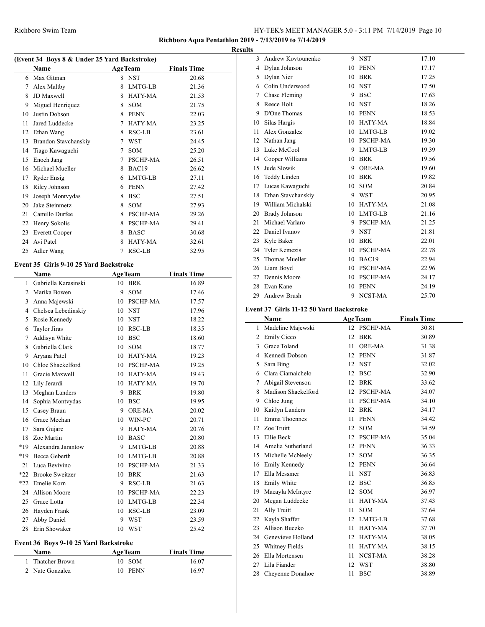# **Richboro Aqua Pentathlon 2019 - 7/13/2019 to 7/14/2019**

| (Event 34 Boys 8 & Under 25 Yard Backstroke) |                       |                |                 |                    |  |  |
|----------------------------------------------|-----------------------|----------------|-----------------|--------------------|--|--|
|                                              | <b>Name</b>           | <b>AgeTeam</b> |                 | <b>Finals Time</b> |  |  |
| 6                                            | Max Gitman            | 8              | <b>NST</b>      | 20.68              |  |  |
| 7                                            | Alex Maltby           | 8              | LMTG-LB         | 21.36              |  |  |
| 8                                            | JD Maxwell            | 8              | <b>HATY-MA</b>  | 21.53              |  |  |
| 9                                            | Miguel Henriquez      | 8              | <b>SOM</b>      | 21.75              |  |  |
| 10                                           | Justin Dobson         | 8              | <b>PENN</b>     | 22.03              |  |  |
| 11                                           | Jared Luddecke        | 7              | HATY-MA         | 23.25              |  |  |
| 12                                           | Ethan Wang            | 8              | RSC-LB          | 23.61              |  |  |
| 13                                           | Brandon Stavchanskiy  | 7              | <b>WST</b>      | 24.45              |  |  |
| 14                                           | Tiago Kawaguchi       | 7              | <b>SOM</b>      | 25.20              |  |  |
| 15                                           | Enoch Jang            | 7              | <b>PSCHP-MA</b> | 26.51              |  |  |
| 16                                           | Michael Mueller       | 8              | BAC19           | 26.62              |  |  |
| 17                                           | <b>Ryder Ensig</b>    | 6              | LMTG-LB         | 27.11              |  |  |
| 18                                           | Riley Johnson         | 6              | <b>PENN</b>     | 27.42              |  |  |
| 19                                           | Joseph Montvydas      | 8              | <b>BSC</b>      | 27.51              |  |  |
| 20                                           | Jake Steinmetz        | 8              | <b>SOM</b>      | 27.93              |  |  |
| 21                                           | Camillo Durfee        | 8              | <b>PSCHP-MA</b> | 29.26              |  |  |
| 22                                           | Henry Sokolis         | 8              | <b>PSCHP-MA</b> | 29.41              |  |  |
| 23                                           | <b>Everett Cooper</b> | 8              | <b>BASC</b>     | 30.68              |  |  |
| 24                                           | Avi Patel             | 8              | HATY-MA         | 32.61              |  |  |
| 25                                           | Adler Wang            | 7              | RSC-LB          | 32.95              |  |  |

## **Event 35 Girls 9-10 25 Yard Backstroke**

 $\overline{a}$ 

|                | <b>Name</b>          |    | <b>AgeTeam</b>  | <b>Finals Time</b> |
|----------------|----------------------|----|-----------------|--------------------|
| 1              | Gabriella Karasinski | 10 | <b>BRK</b>      | 16.89              |
| $\overline{c}$ | Marika Bowen         | 9  | <b>SOM</b>      | 17.46              |
| 3              | Anna Majewski        | 10 | PSCHP-MA        | 17.57              |
| 4              | Chelsea Lebedinskiy  | 10 | <b>NST</b>      | 17.96              |
| 5              | Rosie Kennedy        | 10 | <b>NST</b>      | 18.22              |
| 6              | <b>Taylor Jiras</b>  | 10 | RSC-LB          | 18.35              |
| 7              | Addisyn White        | 10 | <b>BSC</b>      | 18.60              |
| 8              | Gabriella Clark      | 10 | <b>SOM</b>      | 18.77              |
| 9              | Aryana Patel         | 10 | <b>HATY-MA</b>  | 19.23              |
| 10             | Chloe Shackelford    | 10 | <b>PSCHP-MA</b> | 19.25              |
| 11             | Gracie Maxwell       | 10 | <b>HATY-MA</b>  | 19.43              |
| 12             | Lily Jerardi         | 10 | <b>HATY-MA</b>  | 19.70              |
| 13             | Meghan Landers       | 9  | <b>BRK</b>      | 19.80              |
| 14             | Sophia Montvydas     | 10 | <b>BSC</b>      | 19.95              |
| 15             | Casey Braun          | 9  | ORE-MA          | 20.02              |
| 16             | Grace Meehan         | 10 | WIN-PC          | 20.71              |
| 17             | Sara Gujare          | 9  | HATY-MA         | 20.76              |
| 18             | Zoe Martin           | 10 | <b>BASC</b>     | 20.80              |
| *19            | Alexandra Jarantow   | 9  | LMTG-LB         | 20.88              |
| *19            | Becca Geberth        | 10 | LMTG-LB         | 20.88              |
| 21             | Luca Bevivino        | 10 | <b>PSCHP-MA</b> | 21.33              |
|                | *22 Brooke Sweitzer  | 10 | <b>BRK</b>      | 21.63              |
| $*22$          | Emelie Korn          | 9  | RSC-LB          | 21.63              |
| 24             | Allison Moore        | 10 | <b>PSCHP-MA</b> | 22.23              |
| 25             | Grace Lotta          | 10 | LMTG-LB         | 22.34              |
| 26             | Hayden Frank         | 10 | <b>RSC-LB</b>   | 23.09              |
| 27             | Abby Daniel          | 9  | <b>WST</b>      | 23.59              |
| 28             | Erin Showaker        | 10 | <b>WST</b>      | 25.42              |

## **Event 36 Boys 9-10 25 Yard Backstroke**

| Name             | <b>AgeTeam</b> | <b>Finals Time</b> |
|------------------|----------------|--------------------|
| 1 Thatcher Brown | 10 SOM         | 16.07              |
| 2 Nate Gonzalez  | 10 PENN        | 16.97              |

| <b>Results</b> |                       |    |                 |       |
|----------------|-----------------------|----|-----------------|-------|
| 3              | Andrew Kovtounenko    |    | 9 NST           | 17.10 |
| 4              | Dylan Johnson         | 10 | <b>PENN</b>     | 17.17 |
| 5              | Dylan Nier            |    | 10 BRK          | 17.25 |
|                | 6 Colin Underwood     | 10 | <b>NST</b>      | 17.50 |
| 7              | Chase Fleming         | 9  | <b>BSC</b>      | 17.63 |
| 8              | Reece Holt            |    | 10 NST          | 18.26 |
| 9              | D'One Thomas          | 10 | <b>PENN</b>     | 18.53 |
| 10             | Silas Hargis          | 10 | HATY-MA         | 18.84 |
| 11             | Alex Gonzalez         |    | 10 LMTG-LB      | 19.02 |
| 12             | Nathan Jang           | 10 | <b>PSCHP-MA</b> | 19.30 |
| 13             | Luke McCool           | 9  | LMTG-LB         | 19.39 |
| 14             | Cooper Williams       | 10 | <b>BRK</b>      | 19.56 |
| 15             | Jude Slowik           | 9  | ORE-MA          | 19.60 |
| 16             | Teddy Linden          | 10 | <b>BRK</b>      | 19.82 |
| 17             | Lucas Kawaguchi       | 10 | <b>SOM</b>      | 20.84 |
| 18             | Ethan Stavchanskiy    | 9  | WST             | 20.95 |
| 19             | William Michalski     | 10 | HATY-MA         | 21.08 |
| 20             | <b>Brady Johnson</b>  | 10 | LMTG-LB         | 21.16 |
| 21             | Michael Varlaro       | 9  | <b>PSCHP-MA</b> | 21.25 |
| 22             | Daniel Ivanov         |    | 9 NST           | 21.81 |
| 23             | Kyle Baker            | 10 | <b>BRK</b>      | 22.01 |
| 24             | <b>Tyler Kemezis</b>  | 10 | <b>PSCHP-MA</b> | 22.78 |
| 25             | <b>Thomas Mueller</b> | 10 | BAC19           | 22.94 |
| 26             | Liam Boyd             | 10 | <b>PSCHP-MA</b> | 22.96 |
| 27             | Dennis Moore          | 10 | <b>PSCHP-MA</b> | 24.17 |
| 28             | Evan Kane             | 10 | <b>PENN</b>     | 24.19 |
| 29             | <b>Andrew Brush</b>   | 9  | NCST-MA         | 25.70 |

#### **Event 37 Girls 11-12 50 Yard Backstroke**

|    | Name                 |    | <b>AgeTeam</b>  | <b>Finals Time</b> |
|----|----------------------|----|-----------------|--------------------|
| 1  | Madeline Majewski    |    | 12 PSCHP-MA     | 30.81              |
| 2  | <b>Emily Cicco</b>   | 12 | <b>BRK</b>      | 30.89              |
| 3  | Grace Toland         | 11 | ORE-MA          | 31.38              |
| 4  | Kennedi Dobson       | 12 | <b>PENN</b>     | 31.87              |
| 5  | Sara Bing            | 12 | <b>NST</b>      | 32.02              |
| 6  | Clara Ciamaichelo    | 12 | <b>BSC</b>      | 32.90              |
| 7  | Abigail Stevenson    | 12 | <b>BRK</b>      | 33.62              |
| 8  | Madison Shackelford  | 12 | <b>PSCHP-MA</b> | 34.07              |
| 9  | Chloe Jung           | 11 | PSCHP-MA        | 34.10              |
| 10 | Kaitlyn Landers      | 12 | <b>BRK</b>      | 34.17              |
| 11 | Emma Thoennes        | 11 | <b>PENN</b>     | 34.42              |
| 12 | Zoe Truitt           | 12 | <b>SOM</b>      | 34.59              |
| 13 | Ellie Beck           | 12 | PSCHP-MA        | 35.04              |
| 14 | Amelia Sutherland    | 12 | <b>PENN</b>     | 36.33              |
| 15 | Michelle McNeely     | 12 | <b>SOM</b>      | 36.35              |
| 16 | <b>Emily Kennedy</b> | 12 | <b>PENN</b>     | 36.64              |
| 17 | Ella Messmer         | 11 | <b>NST</b>      | 36.83              |
| 18 | Emily White          | 12 | <b>BSC</b>      | 36.85              |
| 19 | Macayla McIntyre     | 12 | <b>SOM</b>      | 36.97              |
| 20 | Megan Luddecke       | 11 | <b>HATY-MA</b>  | 37.43              |
| 21 | Ally Truitt          | 11 | <b>SOM</b>      | 37.64              |
| 22 | Kayla Shaffer        | 12 | LMTG-LB         | 37.68              |
| 23 | Allison Buczko       | 11 | <b>HATY-MA</b>  | 37.70              |
| 24 | Genevieve Holland    |    | 12 HATY-MA      | 38.05              |
| 25 | Whitney Fields       | 11 | HATY-MA         | 38.15              |
| 26 | Ella Mortensen       | 11 | NCST-MA         | 38.28              |
| 27 | Lila Fiander         | 12 | <b>WST</b>      | 38.80              |
| 28 | Cheyenne Donahoe     | 11 | <b>BSC</b>      | 38.89              |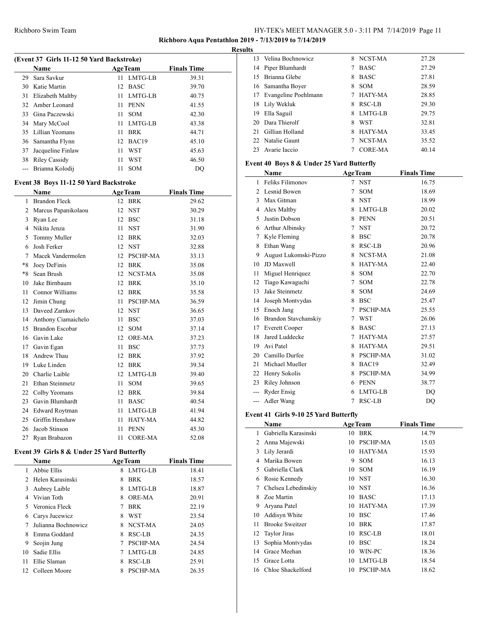## **Richboro Aqua Pentathlon 2019 - 7/13/2019 to 7/14/2019**

#### **Results**

l,

 $\overline{\phantom{a}}$ 

| (Event 37 Girls 11-12 50 Yard Backstroke) |                                        |      |                 |                    |  |  |
|-------------------------------------------|----------------------------------------|------|-----------------|--------------------|--|--|
|                                           | Name                                   |      | <b>AgeTeam</b>  | <b>Finals Time</b> |  |  |
| 29                                        | Sara Savkur                            | 11   | LMTG-LB         | 39.31              |  |  |
|                                           | 30 Katie Martin                        | 12   | BASC            | 39.70              |  |  |
| 31                                        | Elizabeth Maltby                       | 11   | LMTG-LB         | 40.75              |  |  |
| 32                                        | Amber Leonard                          | 11.  | <b>PENN</b>     | 41.55              |  |  |
| 33                                        | Gina Paczewski                         | 11   | <b>SOM</b>      | 42.30              |  |  |
|                                           | 34 Mary McCool                         |      | 11 LMTG-LB      | 43.38              |  |  |
| 35                                        | Lillian Yeomans                        | 11   | <b>BRK</b>      | 44.71              |  |  |
| 36                                        | Samantha Flynn                         |      | 12 BAC19        | 45.10              |  |  |
| 37                                        | Jacqueline Finlaw                      | 11   | <b>WST</b>      | 45.63              |  |  |
|                                           | 38 Riley Cassidy                       | 11 - | WST             | 46.50              |  |  |
|                                           | --- Brianna Kolodij                    | 11   | <b>SOM</b>      | DQ                 |  |  |
|                                           | Event 38 Boys 11-12 50 Yard Backstroke |      |                 |                    |  |  |
|                                           | Name                                   |      | <b>AgeTeam</b>  | <b>Finals Time</b> |  |  |
| 1                                         | <b>Brandon Fleck</b>                   |      | 12 BRK          | 29.62              |  |  |
| $\overline{2}$                            | Marcus Papanikolaou                    |      | 12 NST          | 30.29              |  |  |
| 3                                         | Ryan Lee                               |      | 12 BSC          | 31.18              |  |  |
| $\overline{4}$                            | Nikita Jenza                           | 11   | <b>NST</b>      | 31.90              |  |  |
| 5                                         | Tommy Muller                           |      | 12 BRK          | 32.03              |  |  |
| 6                                         | Josh Ferker                            |      | 12 NST          | 32.88              |  |  |
| $\overline{7}$                            | Macek Vandermolen                      |      | 12 PSCHP-MA     | 33.13              |  |  |
| $*8$                                      | Joey DeFinis                           |      | 12 BRK          | 35.08              |  |  |
| $*8$                                      | Sean Brush                             |      | 12 NCST-MA      | 35.08              |  |  |
| 10                                        | Jake Birnbaum                          |      | 12 BRK          | 35.10              |  |  |
| 11                                        | Connor Williams                        |      | 12 BRK          | 35.58              |  |  |
| 12                                        | Jimin Chung                            | 11   | <b>PSCHP-MA</b> | 36.59              |  |  |
| 13                                        | Daveed Zamkov                          |      | 12 NST          | 36.65              |  |  |
| 14                                        | Anthony Ciamaichelo                    | 11   | <b>BSC</b>      | 37.03              |  |  |
| 15                                        | <b>Brandon Escobar</b>                 |      | 12 SOM          | 37.14              |  |  |
| 16                                        | Gavin Lake                             |      | 12 ORE-MA       | 37.23              |  |  |
| 17                                        | Gavin Egan                             | 11   | <b>BSC</b>      | 37.73              |  |  |
| 18                                        | Andrew Thau                            |      | 12 BRK          | 37.92              |  |  |
| 19                                        | Luke Linden                            |      | 12 BRK          | 39.34              |  |  |
| 20                                        | Charlie Laible                         |      | 12 LMTG-LB      | 39.40              |  |  |
| 21                                        | <b>Ethan Steinmetz</b>                 | 11   | <b>SOM</b>      | 39.65              |  |  |
| 22                                        | Colby Yeomans                          |      | 12 BRK          | 39.84              |  |  |
| 23                                        | Gavin Blumhardt                        |      | 11 BASC         | 40.54              |  |  |
| 24                                        | <b>Edward Roytman</b>                  |      | 11 LMTG-LB      | 41.94              |  |  |
| 25                                        | Griffin Henshaw                        | 11 - | HATY-MA         | 44.82              |  |  |
| 26                                        | Jacob Stinson                          | 11   | <b>PENN</b>     | 45.30              |  |  |
| 27                                        | Ryan Brabazon                          | 11   | <b>CORE-MA</b>  | 52.08              |  |  |

## **Event 39 Girls 8 & Under 25 Yard Butterfly**

|             | <b>Name</b>         |   | <b>AgeTeam</b>  | <b>Finals Time</b> |
|-------------|---------------------|---|-----------------|--------------------|
|             | Abbie Ellis         | 8 | LMTG-LB         | 18.41              |
| $2^{\circ}$ | Helen Karasinski    | 8 | <b>BRK</b>      | 18.57              |
| 3           | Aubrey Laible       | 8 | LMTG-LB         | 18.87              |
| 4           | Vivian Toth         | 8 | <b>ORE-MA</b>   | 20.91              |
| 5.          | Veronica Fleck      | 7 | <b>BRK</b>      | 22.19              |
| 6           | Carys Jucewicz      | 8 | WST             | 23.54              |
|             | Julianna Bochnowicz | 8 | NCST-MA         | 24.05              |
| 8           | Emma Goddard        | 8 | RSC-LB          | 24.35              |
| 9           | Seojin Jung         | 7 | <b>PSCHP-MA</b> | 24.54              |
| 10          | Sadie Ellis         | 7 | LMTG-LB         | 24.85              |
| 11          | Ellie Slaman        | 8 | RSC-LB          | 25.91              |
| 12          | Colleen Moore       | 8 | <b>PSCHP-MA</b> | 26.35              |

|    | 13 Velina Bochnowicz    |    | 8 NCST-MA   | 27.28 |
|----|-------------------------|----|-------------|-------|
|    | 14 Piper Blumhardt      |    | <b>BASC</b> | 27.29 |
| 15 | Brianna Glebe           | 8  | <b>BASC</b> | 27.81 |
|    | 16 Samantha Boyer       | 8  | <b>SOM</b>  | 28.59 |
|    | 17 Evangeline Poehlmann |    | HATY-MA     | 28.85 |
|    | 18 Lily Wekluk          | 8  | RSC-LB      | 29.30 |
| 19 | Ella Saguil             | 8. | LMTG-LB     | 29.75 |
|    | 20 Dara Thierolf        | 8  | WST         | 32.81 |
| 21 | Gillian Holland         | x  | HATY-MA     | 33.45 |
|    | 22 Natalie Gaunt        |    | NCST-MA     | 35.52 |
| 23 | Avarie Iaccio           |    | CORE-MA     | 40.14 |

## **Event 40 Boys 8 & Under 25 Yard Butterfly**

|       | Name                  |   | <b>AgeTeam</b>  | <b>Finals Time</b> |
|-------|-----------------------|---|-----------------|--------------------|
| 1     | Feliks Filimonov      | 7 | <b>NST</b>      | 16.75              |
| 2     | Lesnid Bowen          | 7 | <b>SOM</b>      | 18.69              |
| 3     | Max Gitman            | 8 | <b>NST</b>      | 18.99              |
| 4     | Alex Maltby           | 8 | LMTG-LB         | 20.02              |
| 5     | Justin Dobson         | 8 | <b>PENN</b>     | 20.51              |
| 6     | Arthur Albinsky       | 7 | <b>NST</b>      | 20.72              |
| 7     | Kyle Fleming          | 8 | <b>BSC</b>      | 20.78              |
| 8     | Ethan Wang            | 8 | RSC-LB          | 20.96              |
| 9     | August Lukomski-Pizzo | 8 | NCST-MA         | 21.08              |
| 10    | JD Maxwell            | 8 | <b>HATY-MA</b>  | 22.40              |
| 11    | Miguel Henriquez      | 8 | <b>SOM</b>      | 22.70              |
| 12    | Tiago Kawaguchi       | 7 | <b>SOM</b>      | 22.78              |
| 13    | Jake Steinmetz        | 8 | <b>SOM</b>      | 24.69              |
| 14    | Joseph Montvydas      | 8 | <b>BSC</b>      | 25.47              |
| 15    | Enoch Jang            | 7 | <b>PSCHP-MA</b> | 25.55              |
| 16    | Brandon Stavchanskiy  | 7 | <b>WST</b>      | 26.06              |
| 17    | <b>Everett Cooper</b> | 8 | <b>BASC</b>     | 27.13              |
| 18    | Jared Luddecke        | 7 | HATY-MA         | 27.57              |
| 19    | Avi Patel             | 8 | HATY-MA         | 29.51              |
| 20    | Camillo Durfee        | 8 | <b>PSCHP-MA</b> | 31.02              |
| 21    | Michael Mueller       | 8 | BAC19           | 32.49              |
| 22    | Henry Sokolis         | 8 | <b>PSCHP-MA</b> | 34.99              |
| 23    | Riley Johnson         | 6 | <b>PENN</b>     | 38.77              |
|       | <b>Ryder Ensig</b>    | 6 | LMTG-LB         | DO                 |
| $---$ | Adler Wang            | 7 | <b>RSC-LB</b>   | DQ                 |

# **Event 41 Girls 9-10 25 Yard Butterfly**

|    | Name                   |    | <b>AgeTeam</b>  | <b>Finals Time</b> |  |
|----|------------------------|----|-----------------|--------------------|--|
| 1  | Gabriella Karasinski   | 10 | BRK             | 14.79              |  |
| 2  | Anna Majewski          | 10 | <b>PSCHP-MA</b> | 15.03              |  |
| 3  | Lily Jerardi           | 10 | <b>HATY-MA</b>  | 15.93              |  |
| 4  | Marika Bowen           | 9  | <b>SOM</b>      | 16.13              |  |
| 5  | Gabriella Clark        | 10 | <b>SOM</b>      | 16.19              |  |
| 6  | Rosie Kennedy          | 10 | <b>NST</b>      | 16.30              |  |
| 7  | Chelsea Lebedinskiy    |    | 10 NST          | 16.36              |  |
| 8  | Zoe Martin             | 10 | <b>BASC</b>     | 17.13              |  |
| 9  | Aryana Patel           | 10 | HATY-MA         | 17.39              |  |
| 10 | Addisyn White          | 10 | <b>BSC</b>      | 17.46              |  |
| 11 | <b>Brooke Sweitzer</b> | 10 | <b>BRK</b>      | 17.87              |  |
|    | 12 Taylor Jiras        | 10 | RSC-LB          | 18.01              |  |
| 13 | Sophia Montvydas       | 10 | <b>BSC</b>      | 18.24              |  |
| 14 | Grace Meehan           | 10 | WIN-PC          | 18.36              |  |
| 15 | Grace Lotta            | 10 | LMTG-LB         | 18.54              |  |
|    | 16 Chloe Shackelford   | 10 | PSCHP-MA        | 18.62              |  |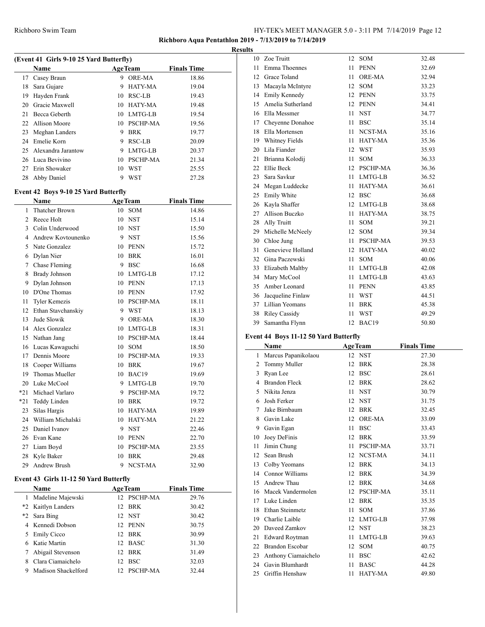## **Richboro Aqua Pentathlon 2019 - 7/13/2019 to 7/14/2019**

|                                         |                    |     |                 |                    | <b>Results</b> |  |  |  |  |
|-----------------------------------------|--------------------|-----|-----------------|--------------------|----------------|--|--|--|--|
| (Event 41 Girls 9-10 25 Yard Butterfly) |                    |     |                 |                    |                |  |  |  |  |
|                                         | Name               |     | <b>AgeTeam</b>  | <b>Finals Time</b> |                |  |  |  |  |
| 17                                      | Casey Braun        | 9   | <b>ORE-MA</b>   | 18.86              |                |  |  |  |  |
| 18                                      | Sara Gujare        | 9   | HATY-MA         | 19.04              |                |  |  |  |  |
| 19                                      | Hayden Frank       |     | 10 RSC-LB       | 19.43              |                |  |  |  |  |
| 20                                      | Gracie Maxwell     |     | 10 HATY-MA      | 19.48              |                |  |  |  |  |
| 21                                      | Becca Geberth      |     | 10 LMTG-LB      | 19.54              |                |  |  |  |  |
|                                         | 22 Allison Moore   |     | 10 PSCHP-MA     | 19.56              |                |  |  |  |  |
| 23                                      | Meghan Landers     | 9   | <b>BRK</b>      | 19.77              |                |  |  |  |  |
| 24                                      | Emelie Korn        | 9   | RSC-LB          | 20.09              |                |  |  |  |  |
| 25                                      | Alexandra Jarantow | 9   | LMTG-LB         | 20.37              |                |  |  |  |  |
|                                         | 26 Luca Bevivino   | 10. | <b>PSCHP-MA</b> | 21.34              |                |  |  |  |  |
| 27                                      | Erin Showaker      | 10  | <b>WST</b>      | 25.55              |                |  |  |  |  |
| 28                                      | Abby Daniel        |     | WST             | 27.28              |                |  |  |  |  |

# **Event 42 Boys 9-10 25 Yard Butterfly**

|       | <b>Name</b>           |    | <b>AgeTeam</b>  | <b>Finals Time</b> |
|-------|-----------------------|----|-----------------|--------------------|
| 1     | <b>Thatcher Brown</b> | 10 | <b>SOM</b>      | 14.86              |
| 2     | Reece Holt            | 10 | <b>NST</b>      | 15.14              |
| 3     | Colin Underwood       | 10 | <b>NST</b>      | 15.50              |
| 4     | Andrew Kovtounenko    | 9  | <b>NST</b>      | 15.56              |
| 5     | Nate Gonzalez         | 10 | <b>PENN</b>     | 15.72              |
| 6     | Dylan Nier            | 10 | <b>BRK</b>      | 16.01              |
| 7     | Chase Fleming         | 9  | <b>BSC</b>      | 16.68              |
| 8     | <b>Brady Johnson</b>  | 10 | LMTG-LB         | 17.12              |
| 9     | Dylan Johnson         | 10 | <b>PENN</b>     | 17.13              |
| 10    | D'One Thomas          | 10 | <b>PENN</b>     | 17.92              |
| 11    | <b>Tyler Kemezis</b>  | 10 | <b>PSCHP-MA</b> | 18.11              |
| 12    | Ethan Stavchanskiy    | 9  | WST             | 18.13              |
| 13    | Jude Slowik           | 9  | <b>ORE-MA</b>   | 18.30              |
| 14    | Alex Gonzalez         | 10 | LMTG-LB         | 18.31              |
| 15    | Nathan Jang           | 10 | PSCHP-MA        | 18.44              |
| 16    | Lucas Kawaguchi       | 10 | <b>SOM</b>      | 18.50              |
| 17    | Dennis Moore          | 10 | <b>PSCHP-MA</b> | 19.33              |
| 18    | Cooper Williams       | 10 | <b>BRK</b>      | 19.67              |
| 19    | Thomas Mueller        | 10 | BAC19           | 19.69              |
| 20    | Luke McCool           | 9  | LMTG-LB         | 19.70              |
| $*21$ | Michael Varlaro       | 9  | PSCHP-MA        | 19.72              |
| *21   | Teddy Linden          | 10 | <b>BRK</b>      | 19.72              |
| 23    | Silas Hargis          | 10 | HATY-MA         | 19.89              |
| 24    | William Michalski     | 10 | <b>HATY-MA</b>  | 21.22              |
| 25    | Daniel Ivanov         | 9  | <b>NST</b>      | 22.46              |
| 26    | Evan Kane             | 10 | <b>PENN</b>     | 22.70              |
| 27    | Liam Boyd             | 10 | PSCHP-MA        | 23.55              |
| 28    | Kyle Baker            | 10 | <b>BRK</b>      | 29.48              |
| 29    | <b>Andrew Brush</b>   | 9  | <b>NCST-MA</b>  | 32.90              |

# **Event 43 Girls 11-12 50 Yard Butterfly**

 $\overline{a}$ 

|   | <b>Name</b>         | <b>AgeTeam</b> | <b>Finals Time</b> |
|---|---------------------|----------------|--------------------|
|   | Madeline Majewski   | 12 PSCHP-MA    | 29.76              |
|   | *2 Kaitlyn Landers  | 12 BRK         | 30.42              |
|   | *2 Sara Bing        | 12 NST         | 30.42              |
|   | 4 Kennedi Dobson    | 12 PENN        | 30.75              |
|   | 5 Emily Cicco       | 12 BRK         | 30.99              |
|   | 6 Katie Martin      | 12 BASC        | 31.30              |
|   | Abigail Stevenson   | 12 BRK         | 31.49              |
|   | Clara Ciamaichelo   | 12 BSC         | 32.03              |
| 9 | Madison Shackelford | 12 PSCHP-MA    | 32.44              |

| 10 | Zoe Truitt           | 12 | <b>SOM</b>  | 32.48 |
|----|----------------------|----|-------------|-------|
| 11 | Emma Thoennes        | 11 | <b>PENN</b> | 32.69 |
| 12 | Grace Toland         | 11 | ORE-MA      | 32.94 |
| 13 | Macayla McIntyre     | 12 | SOM         | 33.23 |
| 14 | <b>Emily Kennedy</b> | 12 | <b>PENN</b> | 33.75 |
|    | 15 Amelia Sutherland | 12 | PENN        | 34.41 |
| 16 | Ella Messmer         | 11 | <b>NST</b>  | 34.77 |
| 17 | Cheyenne Donahoe     | 11 | <b>BSC</b>  | 35.14 |
| 18 | Ella Mortensen       | 11 | NCST-MA     | 35.16 |
|    | 19 Whitney Fields    | 11 | HATY-MA     | 35.36 |
| 20 | Lila Fiander         | 12 | <b>WST</b>  | 35.93 |
| 21 | Brianna Kolodij      | 11 | <b>SOM</b>  | 36.33 |
| 22 | Ellie Beck           |    | 12 PSCHP-MA | 36.36 |
| 23 | Sara Savkur          | 11 | LMTG-LB     | 36.52 |
| 24 | Megan Luddecke       | 11 | HATY-MA     | 36.61 |
| 25 | Emily White          |    | 12 BSC      | 36.68 |
| 26 | Kayla Shaffer        |    | 12 LMTG-LB  | 38.68 |
| 27 | Allison Buczko       | 11 | HATY-MA     | 38.75 |
| 28 | Ally Truitt          | 11 | SOM         | 39.21 |
| 29 | Michelle McNeely     |    | 12 SOM      | 39.34 |
| 30 | Chloe Jung           | 11 | PSCHP-MA    | 39.53 |
| 31 | Genevieve Holland    | 12 | HATY-MA     | 40.02 |
| 32 | Gina Paczewski       | 11 | <b>SOM</b>  | 40.06 |
|    | 33 Elizabeth Maltby  | 11 | LMTG-LB     | 42.08 |
| 34 | Mary McCool          | 11 | LMTG-LB     | 43.63 |
| 35 | Amber Leonard        | 11 | <b>PENN</b> | 43.85 |
| 36 | Jacqueline Finlaw    | 11 | <b>WST</b>  | 44.51 |
|    | 37 Lillian Yeomans   | 11 | <b>BRK</b>  | 45.38 |
| 38 | <b>Riley Cassidy</b> | 11 | <b>WST</b>  | 49.29 |
| 39 | Samantha Flynn       | 12 | BAC19       | 50.80 |

## **Event 44 Boys 11-12 50 Yard Butterfly**

|    | Name                   | <b>AgeTeam</b> |                 | <b>Finals Time</b> |
|----|------------------------|----------------|-----------------|--------------------|
| 1  | Marcus Papanikolaou    | 12             | <b>NST</b>      | 27.30              |
| 2  | Tommy Muller           | 12             | <b>BRK</b>      | 28.38              |
| 3  | Ryan Lee               | 12             | <b>BSC</b>      | 28.61              |
| 4  | <b>Brandon Fleck</b>   | 12             | <b>BRK</b>      | 28.62              |
| 5  | Nikita Jenza           | 11             | <b>NST</b>      | 30.79              |
| 6  | Josh Ferker            | 12             | <b>NST</b>      | 31.75              |
| 7  | Jake Birnbaum          | 12             | <b>BRK</b>      | 32.45              |
| 8  | Gavin Lake             | 12             | <b>ORE-MA</b>   | 33.09              |
| 9  | Gavin Egan             | 11             | <b>BSC</b>      | 33.43              |
| 10 | Joey DeFinis           | 12             | <b>BRK</b>      | 33.59              |
| 11 | Jimin Chung            | 11             | <b>PSCHP-MA</b> | 33.71              |
| 12 | Sean Brush             | 12             | NCST-MA         | 34.11              |
| 13 | Colby Yeomans          | 12             | <b>BRK</b>      | 34.13              |
| 14 | Connor Williams        | 12             | <b>BRK</b>      | 34.39              |
| 15 | Andrew Thau            | 12             | <b>BRK</b>      | 34.68              |
| 16 | Macek Vandermolen      | 12             | <b>PSCHP-MA</b> | 35.11              |
| 17 | Luke Linden            | 12             | <b>BRK</b>      | 35.35              |
| 18 | Ethan Steinmetz        | 11             | <b>SOM</b>      | 37.86              |
| 19 | Charlie Laible         | 12             | LMTG-LB         | 37.98              |
| 20 | Daveed Zamkov          | 12             | <b>NST</b>      | 38.23              |
| 21 | Edward Roytman         | 11             | LMTG-LB         | 39.63              |
| 22 | <b>Brandon Escobar</b> | 12             | <b>SOM</b>      | 40.75              |
| 23 | Anthony Ciamaichelo    | 11             | <b>BSC</b>      | 42.62              |
| 24 | Gavin Blumhardt        | 11             | <b>BASC</b>     | 44.28              |
| 25 | Griffin Henshaw        | 11             | HATY-MA         | 49.80              |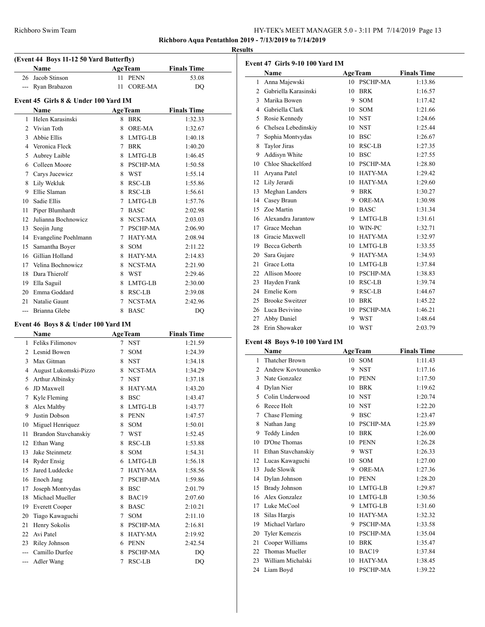**Richboro Aqua Pentathlon 2019 - 7/13/2019 to 7/14/2019**

|                |                                         |    |                |                    | <b>Results</b> |
|----------------|-----------------------------------------|----|----------------|--------------------|----------------|
|                | (Event 44 Boys 11-12 50 Yard Butterfly) |    |                |                    | E <sub>v</sub> |
|                | <b>Name</b>                             |    | <b>AgeTeam</b> | <b>Finals Time</b> |                |
|                | 26 Jacob Stinson                        |    | 11 PENN        | 53.08              |                |
|                | --- Ryan Brabazon                       | 11 | CORE-MA        | DO                 |                |
|                | Event 45 Girls 8 & Under 100 Yard IM    |    |                |                    |                |
|                | Name                                    |    | <b>AgeTeam</b> | <b>Finals Time</b> |                |
| 1              | Helen Karasinski                        |    | 8 BRK          | 1:32.33            |                |
| $\mathfrak{D}$ | Vivian Toth                             | 8  | ORE-MA         | 1:32.67            |                |
| 3              | Abbie Ellis                             |    | 8 LMTG-LB      | 1:40.18            |                |
| 4              | Veronica Fleck                          | 7  | <b>BRK</b>     | 1:40.20            |                |
| 5              | Aubrey Laible                           | 8  | LMTG-LB        | 1:46.45            |                |
| 6              | Colleen Moore                           |    | 8 PSCHP-MA     | 1:50.58            |                |
| 7              | Carys Jucewicz                          |    | 8 WST          | 1:55.14            |                |
| 8              | Lily Wekluk                             | 8  | RSC-LB         | 1:55.86            |                |
| 9              | Ellie Slaman                            | 8  | RSC-LB         | 1:56.61            |                |
| 10             | Sadie Ellis                             | 7  | LMTG-LB        | 1:57.76            |                |
| 11             | Piper Blumhardt                         | 7  | <b>BASC</b>    | 2:02.98            |                |
| 12             | Julianna Bochnowicz                     | 8  | NCST-MA        | 2:03.03            |                |
| 13             | Seojin Jung                             | 7  | PSCHP-MA       | 2:06.90            |                |
| 14             | Evangeline Poehlmann                    | 7  | <b>HATY-MA</b> | 2:08.94            |                |
| 15             | Samantha Boyer                          | 8  | <b>SOM</b>     | 2:11.22            |                |
| 16             | Gillian Holland                         |    | 8 HATY-MA      | 2:14.83            |                |
| 17             | Velina Bochnowicz                       |    | 8 NCST-MA      | 2:21.90            |                |
| 18             | Dara Thierolf                           | 8  | <b>WST</b>     | 2:29.46            |                |
| 19             | Ella Saguil                             | 8  | LMTG-LB        | 2:30.00            |                |
| 20             | Emma Goddard                            | 8  | RSC-LB         | 2:39.08            |                |
| 21             | Natalie Gaunt                           | 7  | NCST-MA        | 2:42.96            |                |
|                | Brianna Glebe                           | 8  | <b>BASC</b>    | D <sub>O</sub>     |                |

# **Event 46 Boys 8 & Under 100 Yard IM**

|                | Name                  | <b>AgeTeam</b> |                 | <b>Finals Time</b> |
|----------------|-----------------------|----------------|-----------------|--------------------|
| 1              | Feliks Filimonov      | 7              | <b>NST</b>      | 1:21.59            |
| $\mathfrak{D}$ | Lesnid Bowen          | 7              | <b>SOM</b>      | 1:24.39            |
| 3              | Max Gitman            | 8              | <b>NST</b>      | 1:34.18            |
| 4              | August Lukomski-Pizzo | 8              | NCST-MA         | 1:34.29            |
| 5              | Arthur Albinsky       | 7              | <b>NST</b>      | 1:37.18            |
| 6              | JD Maxwell            | 8              | <b>HATY-MA</b>  | 1:43.20            |
| 7              | Kyle Fleming          | 8              | <b>BSC</b>      | 1:43.47            |
| 8              | Alex Maltby           | 8              | LMTG-LB         | 1:43.77            |
| 9              | Justin Dobson         | 8              | <b>PENN</b>     | 1:47.57            |
| 10             | Miguel Henriquez      | 8              | <b>SOM</b>      | 1:50.01            |
| 11             | Brandon Stavchanskiy  | 7              | <b>WST</b>      | 1:52.45            |
| 12             | Ethan Wang            | 8              | RSC-LB          | 1:53.88            |
| 13             | Jake Steinmetz        | 8              | <b>SOM</b>      | 1:54.31            |
| 14             | <b>Ryder Ensig</b>    | 6              | LMTG-LB         | 1:56.18            |
| 15             | Jared Luddecke        | 7              | HATY-MA         | 1:58.56            |
| 16             | Enoch Jang            | 7              | <b>PSCHP-MA</b> | 1:59.86            |
| 17             | Joseph Montvydas      | 8              | <b>BSC</b>      | 2:01.79            |
| 18             | Michael Mueller       | 8              | BAC19           | 2:07.60            |
| 19             | <b>Everett Cooper</b> | 8              | <b>BASC</b>     | 2:10.21            |
| 20             | Tiago Kawaguchi       | 7              | <b>SOM</b>      | 2:11.10            |
| 21             | Henry Sokolis         | 8              | <b>PSCHP-MA</b> | 2:16.81            |
| 22             | Avi Patel             | 8              | HATY-MA         | 2:19.92            |
| 23             | Riley Johnson         | 6              | <b>PENN</b>     | 2:42.54            |
|                | Camillo Durfee        | 8              | <b>PSCHP-MA</b> | DO                 |
| ---            | Adler Wang            | 7              | RSC-LB          | DQ                 |

| <b>Event 47 Girls 9-10 100 Yard IM</b> |                        |         |                 |                    |  |  |
|----------------------------------------|------------------------|---------|-----------------|--------------------|--|--|
|                                        | Name                   |         | <b>AgeTeam</b>  | <b>Finals Time</b> |  |  |
| 1                                      | Anna Majewski          | $10-10$ | <b>PSCHP-MA</b> | 1:13.86            |  |  |
| 2                                      | Gabriella Karasinski   | 10      | <b>BRK</b>      | 1:16.57            |  |  |
| 3                                      | Marika Bowen           | 9       | <b>SOM</b>      | 1:17.42            |  |  |
| 4                                      | Gabriella Clark        | 10      | <b>SOM</b>      | 1:21.66            |  |  |
| 5                                      | Rosie Kennedy          | 10      | <b>NST</b>      | 1:24.66            |  |  |
| 6                                      | Chelsea Lebedinskiy    | 10      | <b>NST</b>      | 1:25.44            |  |  |
| 7                                      | Sophia Montvydas       | 10      | <b>BSC</b>      | 1:26.67            |  |  |
| 8                                      | Taylor Jiras           | 10      | RSC-LB          | 1:27.35            |  |  |
| 9                                      | Addisyn White          | 10      | <b>BSC</b>      | 1:27.55            |  |  |
| 10                                     | Chloe Shackelford      | 10      | <b>PSCHP-MA</b> | 1:28.80            |  |  |
| 11                                     | Arvana Patel           | 10      | HATY-MA         | 1:29.42            |  |  |
| 12                                     | Lily Jerardi           | 10      | HATY-MA         | 1:29.60            |  |  |
| 13                                     | Meghan Landers         | 9       | <b>BRK</b>      | 1:30.27            |  |  |
| 14                                     | Casey Braun            | 9       | ORE-MA          | 1:30.98            |  |  |
| 15                                     | Zoe Martin             |         | 10 BASC         | 1:31.34            |  |  |
| 16                                     | Alexandra Jarantow     | 9       | LMTG-LB         | 1:31.61            |  |  |
| 17                                     | Grace Meehan           |         | 10 WIN-PC       | 1:32.71            |  |  |
| 18                                     | Gracie Maxwell         | 10      | <b>HATY-MA</b>  | 1:32.97            |  |  |
| 19                                     | Becca Geberth          |         | 10 LMTG-LB      | 1:33.55            |  |  |
| 20                                     | Sara Gujare            | 9       | HATY-MA         | 1:34.93            |  |  |
| 21                                     | Grace Lotta            | 10      | LMTG-LB         | 1:37.84            |  |  |
| 22                                     | <b>Allison Moore</b>   | 10      | PSCHP-MA        | 1:38.83            |  |  |
| 23                                     | Hayden Frank           | 10      | RSC-LB          | 1:39.74            |  |  |
| 24                                     | Emelie Korn            | 9       | RSC-LB          | 1:44.67            |  |  |
| 25                                     | <b>Brooke Sweitzer</b> | 10      | <b>BRK</b>      | 1:45.22            |  |  |
| 26                                     | Luca Bevivino          | 10      | PSCHP-MA        | 1:46.21            |  |  |
| 27                                     | Abby Daniel            | 9       | WST             | 1:48.64            |  |  |
| 28                                     | Erin Showaker          | 10      | <b>WST</b>      | 2:03.79            |  |  |

## **Event 48 Boys 9-10 100 Yard IM**

|                | Name                  |         | <b>AgeTeam</b>    | <b>Finals Time</b> |
|----------------|-----------------------|---------|-------------------|--------------------|
| 1              | <b>Thatcher Brown</b> | $10-10$ | <b>SOM</b>        | 1:11.43            |
| $\overline{c}$ | Andrew Kovtounenko    | 9       | <b>NST</b>        | 1:17.16            |
| 3              | Nate Gonzalez         | 10      | <b>PENN</b>       | 1:17.50            |
| 4              | Dylan Nier            | 10      | <b>BRK</b>        | 1:19.62            |
| 5              | Colin Underwood       | 10      | <b>NST</b>        | 1:20.74            |
| 6              | Reece Holt            | 10      | <b>NST</b>        | 1:22.20            |
| 7              | Chase Fleming         | 9       | <b>BSC</b>        | 1:23.47            |
| 8              | Nathan Jang           | 10      | PSCHP-MA          | 1:25.89            |
| 9              | Teddy Linden          | 10      | <b>BRK</b>        | 1:26.00            |
| 10             | D'One Thomas          | 10      | <b>PENN</b>       | 1:26.28            |
| 11             | Ethan Stavchanskiy    | 9       | <b>WST</b>        | 1:26.33            |
| 12             | Lucas Kawaguchi       | 10      | <b>SOM</b>        | 1:27.00            |
| 13             | Jude Slowik           | 9       | <b>ORE-MA</b>     | 1:27.36            |
| 14             | Dylan Johnson         | 10      | <b>PENN</b>       | 1:28.20            |
| 15             | <b>Brady Johnson</b>  | 10      | LMTG-LB           | 1:29.87            |
| 16             | Alex Gonzalez         | 10      | LMTG-LB           | 1:30.56            |
| 17             | Luke McCool           | 9       | LMTG-LB           | 1:31.60            |
| 18             | Silas Hargis          | 10      | <b>HATY-MA</b>    | 1:32.32            |
| 19             | Michael Varlaro       | 9       | PSCHP-MA          | 1:33.58            |
| 20             | <b>Tyler Kemezis</b>  | 10      | PSCHP-MA          | 1:35.04            |
| 21             | Cooper Williams       | 10      | <b>BRK</b>        | 1:35.47            |
| 22             | Thomas Mueller        | 10      | BAC <sub>19</sub> | 1:37.84            |
| 23             | William Michalski     | 10      | <b>HATY-MA</b>    | 1:38.45            |
| 24             | Liam Boyd             | 10      | <b>PSCHP-MA</b>   | 1:39.22            |